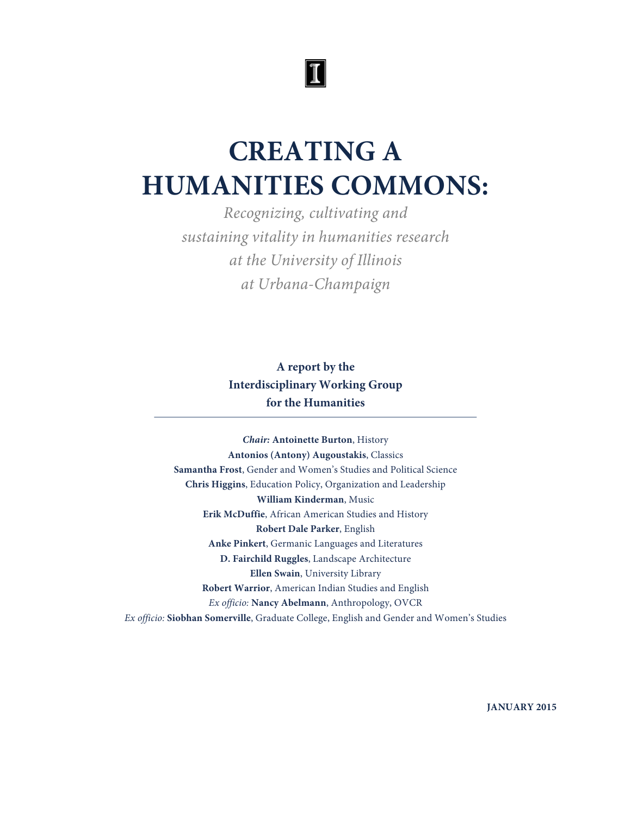# $|\mathbb{I}|$

# **CREATING A HUMANITIES COMMONS:**

*Recognizing, cultivating and sustaining vitality in humanities research at the University of Illinois at Urbana-Champaign*

> **A report by the Interdisciplinary Working Group for the Humanities**

*Chair:* **Antoinette Burton**, History **Antonios (Antony) Augoustakis**, Classics **Samantha Frost**, Gender and Women's Studies and Political Science **Chris Higgins**, Education Policy, Organization and Leadership **William Kinderman**, Music **Erik McDuffie**, African American Studies and History **Robert Dale Parker**, English **Anke Pinkert**, Germanic Languages and Literatures **D. Fairchild Ruggles**, Landscape Architecture **Ellen Swain**, University Library **Robert Warrior**, American Indian Studies and English *Ex officio:* **Nancy Abelmann**, Anthropology, OVCR *Ex officio:* **Siobhan Somerville**, Graduate College, English and Gender and Women's Studies

**JANUARY 2015**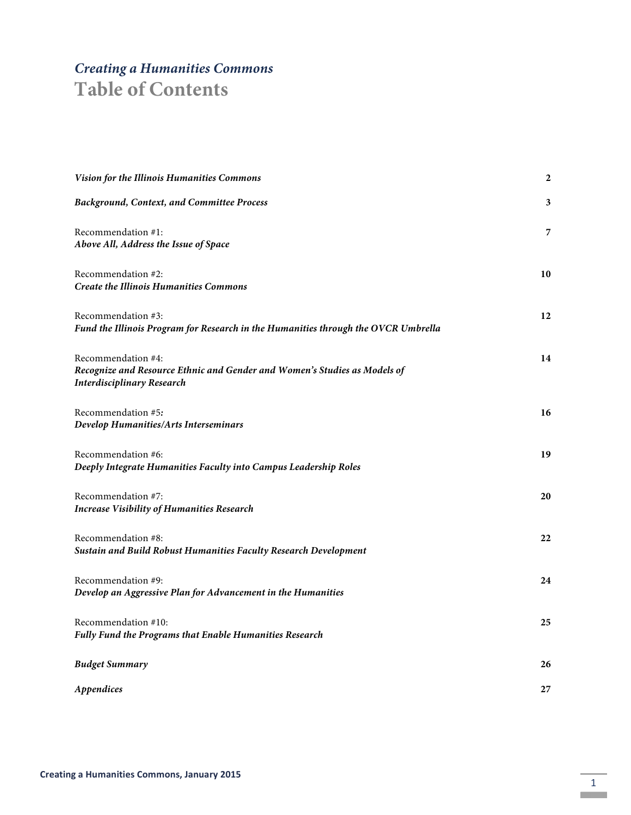# *Creating a Humanities Commons*

# **Table of Contents**

| Vision for the Illinois Humanities Commons                                                                                           | 2  |
|--------------------------------------------------------------------------------------------------------------------------------------|----|
| <b>Background, Context, and Committee Process</b>                                                                                    | 3  |
| Recommendation #1:<br>Above All, Address the Issue of Space                                                                          | 7  |
| Recommendation #2:<br><b>Create the Illinois Humanities Commons</b>                                                                  | 10 |
| Recommendation #3:<br>Fund the Illinois Program for Research in the Humanities through the OVCR Umbrella                             | 12 |
| Recommendation #4:<br>Recognize and Resource Ethnic and Gender and Women's Studies as Models of<br><b>Interdisciplinary Research</b> | 14 |
| Recommendation #5:<br>Develop Humanities/Arts Interseminars                                                                          | 16 |
| Recommendation #6:<br>Deeply Integrate Humanities Faculty into Campus Leadership Roles                                               | 19 |
| Recommendation #7:<br><b>Increase Visibility of Humanities Research</b>                                                              | 20 |
| Recommendation #8:<br>Sustain and Build Robust Humanities Faculty Research Development                                               | 22 |
| Recommendation #9:<br>Develop an Aggressive Plan for Advancement in the Humanities                                                   | 24 |
| Recommendation #10:<br>Fully Fund the Programs that Enable Humanities Research                                                       | 25 |
| <b>Budget Summary</b>                                                                                                                | 26 |
| Appendices                                                                                                                           | 27 |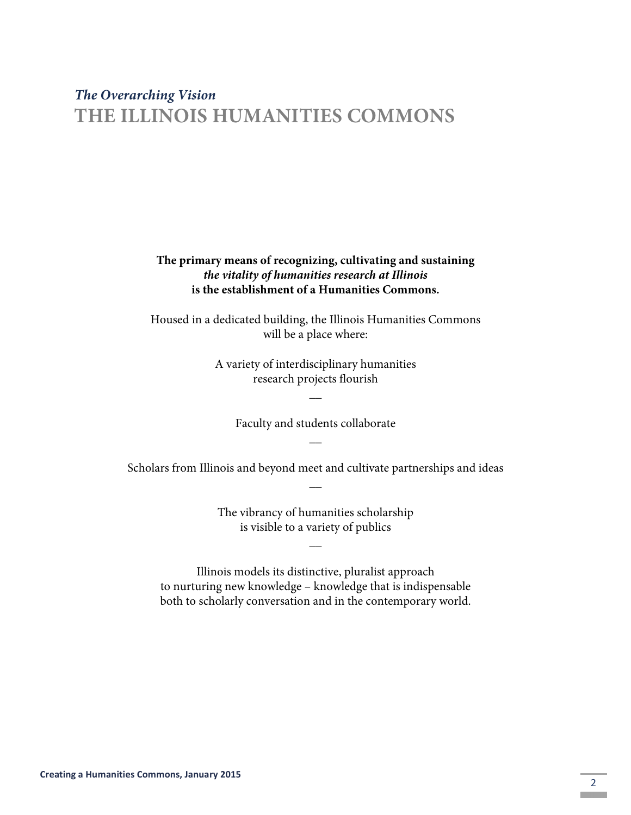# *The Overarching Vision* **THE ILLINOIS HUMANITIES COMMONS**

### **The primary means of recognizing, cultivating and sustaining**  *the vitality of humanities research at Illinois* **is the establishment of a Humanities Commons.**

Housed in a dedicated building, the Illinois Humanities Commons will be a place where:

> A variety of interdisciplinary humanities research projects flourish

> > $\overline{\phantom{a}}$

Faculty and students collaborate  $\overline{\phantom{a}}$ 

Scholars from Illinois and beyond meet and cultivate partnerships and ideas  $\overline{\phantom{a}}$ 

> The vibrancy of humanities scholarship is visible to a variety of publics

> > $\overline{\phantom{a}}$

Illinois models its distinctive, pluralist approach to nurturing new knowledge – knowledge that is indispensable both to scholarly conversation and in the contemporary world.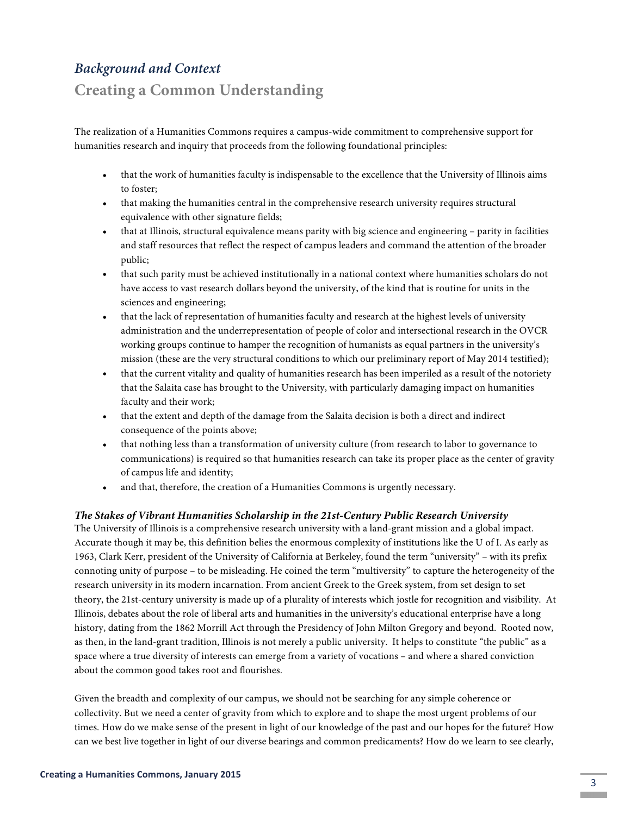# *Background and Context*

# **Creating a Common Understanding**

The realization of a Humanities Commons requires a campus-wide commitment to comprehensive support for humanities research and inquiry that proceeds from the following foundational principles:

- that the work of humanities faculty is indispensable to the excellence that the University of Illinois aims to foster;
- that making the humanities central in the comprehensive research university requires structural equivalence with other signature fields;
- that at Illinois, structural equivalence means parity with big science and engineering parity in facilities and staff resources that reflect the respect of campus leaders and command the attention of the broader public;
- that such parity must be achieved institutionally in a national context where humanities scholars do not have access to vast research dollars beyond the university, of the kind that is routine for units in the sciences and engineering;
- that the lack of representation of humanities faculty and research at the highest levels of university administration and the underrepresentation of people of color and intersectional research in the OVCR working groups continue to hamper the recognition of humanists as equal partners in the university's mission (these are the very structural conditions to which our preliminary report of May 2014 testified);
- that the current vitality and quality of humanities research has been imperiled as a result of the notoriety that the Salaita case has brought to the University, with particularly damaging impact on humanities faculty and their work;
- that the extent and depth of the damage from the Salaita decision is both a direct and indirect consequence of the points above;
- that nothing less than a transformation of university culture (from research to labor to governance to communications) is required so that humanities research can take its proper place as the center of gravity of campus life and identity;
- and that, therefore, the creation of a Humanities Commons is urgently necessary.

#### *The Stakes of Vibrant Humanities Scholarship in the 21st-Century Public Research University*

The University of Illinois is a comprehensive research university with a land-grant mission and a global impact. Accurate though it may be, this definition belies the enormous complexity of institutions like the U of I. As early as 1963, Clark Kerr, president of the University of California at Berkeley, found the term "university" – with its prefix connoting unity of purpose – to be misleading. He coined the term "multiversity" to capture the heterogeneity of the research university in its modern incarnation. From ancient Greek to the Greek system, from set design to set theory, the 21st-century university is made up of a plurality of interests which jostle for recognition and visibility. At Illinois, debates about the role of liberal arts and humanities in the university's educational enterprise have a long history, dating from the 1862 Morrill Act through the Presidency of John Milton Gregory and beyond. Rooted now, as then, in the land-grant tradition, Illinois is not merely a public university. It helps to constitute "the public" as a space where a true diversity of interests can emerge from a variety of vocations – and where a shared conviction about the common good takes root and flourishes.

Given the breadth and complexity of our campus, we should not be searching for any simple coherence or collectivity. But we need a center of gravity from which to explore and to shape the most urgent problems of our times. How do we make sense of the present in light of our knowledge of the past and our hopes for the future? How can we best live together in light of our diverse bearings and common predicaments? How do we learn to see clearly,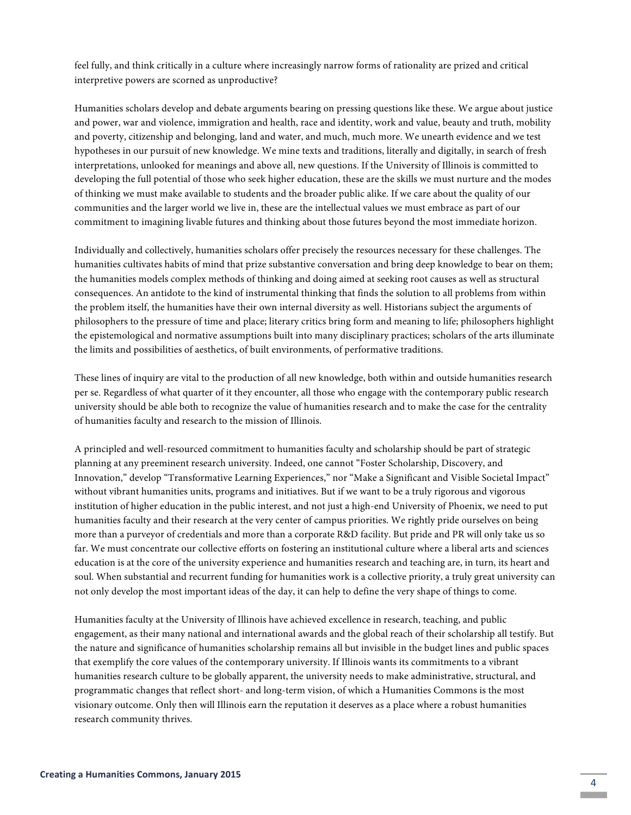feel fully, and think critically in a culture where increasingly narrow forms of rationality are prized and critical interpretive powers are scorned as unproductive?

Humanities scholars develop and debate arguments bearing on pressing questions like these. We argue about justice and power, war and violence, immigration and health, race and identity, work and value, beauty and truth, mobility and poverty, citizenship and belonging, land and water, and much, much more. We unearth evidence and we test hypotheses in our pursuit of new knowledge. We mine texts and traditions, literally and digitally, in search of fresh interpretations, unlooked for meanings and above all, new questions. If the University of Illinois is committed to developing the full potential of those who seek higher education, these are the skills we must nurture and the modes of thinking we must make available to students and the broader public alike. If we care about the quality of our communities and the larger world we live in, these are the intellectual values we must embrace as part of our commitment to imagining livable futures and thinking about those futures beyond the most immediate horizon.

Individually and collectively, humanities scholars offer precisely the resources necessary for these challenges. The humanities cultivates habits of mind that prize substantive conversation and bring deep knowledge to bear on them; the humanities models complex methods of thinking and doing aimed at seeking root causes as well as structural consequences. An antidote to the kind of instrumental thinking that finds the solution to all problems from within the problem itself, the humanities have their own internal diversity as well. Historians subject the arguments of philosophers to the pressure of time and place; literary critics bring form and meaning to life; philosophers highlight the epistemological and normative assumptions built into many disciplinary practices; scholars of the arts illuminate the limits and possibilities of aesthetics, of built environments, of performative traditions.

These lines of inquiry are vital to the production of all new knowledge, both within and outside humanities research per se. Regardless of what quarter of it they encounter, all those who engage with the contemporary public research university should be able both to recognize the value of humanities research and to make the case for the centrality of humanities faculty and research to the mission of Illinois.

A principled and well-resourced commitment to humanities faculty and scholarship should be part of strategic planning at any preeminent research university. Indeed, one cannot "Foster Scholarship, Discovery, and Innovation," develop "Transformative Learning Experiences," nor "Make a Significant and Visible Societal Impact" without vibrant humanities units, programs and initiatives. But if we want to be a truly rigorous and vigorous institution of higher education in the public interest, and not just a high-end University of Phoenix, we need to put humanities faculty and their research at the very center of campus priorities. We rightly pride ourselves on being more than a purveyor of credentials and more than a corporate R&D facility. But pride and PR will only take us so far. We must concentrate our collective efforts on fostering an institutional culture where a liberal arts and sciences education is at the core of the university experience and humanities research and teaching are, in turn, its heart and soul. When substantial and recurrent funding for humanities work is a collective priority, a truly great university can not only develop the most important ideas of the day, it can help to define the very shape of things to come.

Humanities faculty at the University of Illinois have achieved excellence in research, teaching, and public engagement, as their many national and international awards and the global reach of their scholarship all testify. But the nature and significance of humanities scholarship remains all but invisible in the budget lines and public spaces that exemplify the core values of the contemporary university. If Illinois wants its commitments to a vibrant humanities research culture to be globally apparent, the university needs to make administrative, structural, and programmatic changes that reflect short- and long-term vision, of which a Humanities Commons is the most visionary outcome. Only then will Illinois earn the reputation it deserves as a place where a robust humanities research community thrives.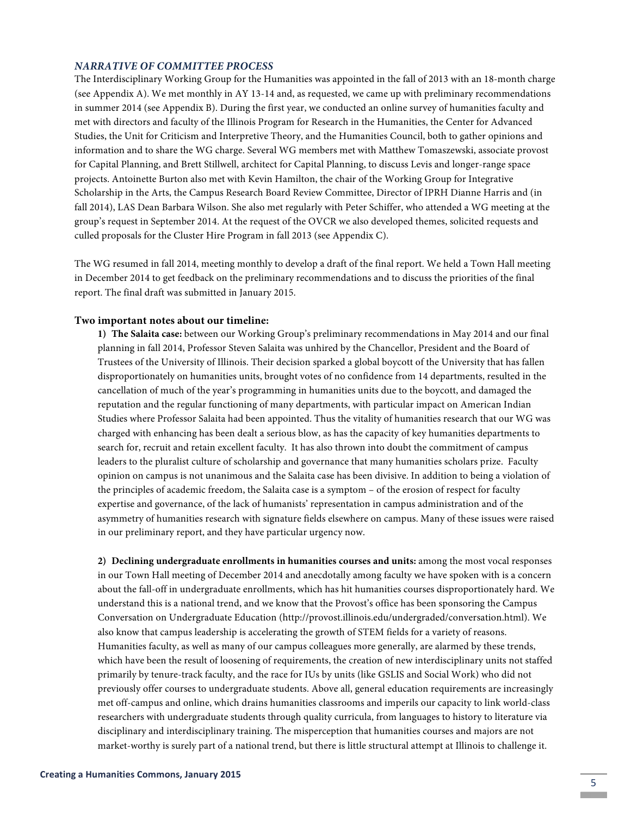#### *NARRATIVE OF COMMITTEE PROCESS*

The Interdisciplinary Working Group for the Humanities was appointed in the fall of 2013 with an 18-month charge (see Appendix A). We met monthly in AY 13-14 and, as requested, we came up with preliminary recommendations in summer 2014 (see Appendix B). During the first year, we conducted an online survey of humanities faculty and met with directors and faculty of the Illinois Program for Research in the Humanities, the Center for Advanced Studies, the Unit for Criticism and Interpretive Theory, and the Humanities Council, both to gather opinions and information and to share the WG charge. Several WG members met with Matthew Tomaszewski, associate provost for Capital Planning, and Brett Stillwell, architect for Capital Planning, to discuss Levis and longer-range space projects. Antoinette Burton also met with Kevin Hamilton, the chair of the Working Group for Integrative Scholarship in the Arts, the Campus Research Board Review Committee, Director of IPRH Dianne Harris and (in fall 2014), LAS Dean Barbara Wilson. She also met regularly with Peter Schiffer, who attended a WG meeting at the group's request in September 2014. At the request of the OVCR we also developed themes, solicited requests and culled proposals for the Cluster Hire Program in fall 2013 (see Appendix C).

The WG resumed in fall 2014, meeting monthly to develop a draft of the final report. We held a Town Hall meeting in December 2014 to get feedback on the preliminary recommendations and to discuss the priorities of the final report. The final draft was submitted in January 2015.

#### **Two important notes about our timeline:**

**1) The Salaita case:** between our Working Group's preliminary recommendations in May 2014 and our final planning in fall 2014, Professor Steven Salaita was unhired by the Chancellor, President and the Board of Trustees of the University of Illinois. Their decision sparked a global boycott of the University that has fallen disproportionately on humanities units, brought votes of no confidence from 14 departments, resulted in the cancellation of much of the year's programming in humanities units due to the boycott, and damaged the reputation and the regular functioning of many departments, with particular impact on American Indian Studies where Professor Salaita had been appointed. Thus the vitality of humanities research that our WG was charged with enhancing has been dealt a serious blow, as has the capacity of key humanities departments to search for, recruit and retain excellent faculty. It has also thrown into doubt the commitment of campus leaders to the pluralist culture of scholarship and governance that many humanities scholars prize. Faculty opinion on campus is not unanimous and the Salaita case has been divisive. In addition to being a violation of the principles of academic freedom, the Salaita case is a symptom – of the erosion of respect for faculty expertise and governance, of the lack of humanists' representation in campus administration and of the asymmetry of humanities research with signature fields elsewhere on campus. Many of these issues were raised in our preliminary report, and they have particular urgency now.

**2) Declining undergraduate enrollments in humanities courses and units:** among the most vocal responses in our Town Hall meeting of December 2014 and anecdotally among faculty we have spoken with is a concern about the fall-off in undergraduate enrollments, which has hit humanities courses disproportionately hard. We understand this is a national trend, and we know that the Provost's office has been sponsoring the Campus Conversation on Undergraduate Education (http://provost.illinois.edu/undergraded/conversation.html). We also know that campus leadership is accelerating the growth of STEM fields for a variety of reasons. Humanities faculty, as well as many of our campus colleagues more generally, are alarmed by these trends, which have been the result of loosening of requirements, the creation of new interdisciplinary units not staffed primarily by tenure-track faculty, and the race for IUs by units (like GSLIS and Social Work) who did not previously offer courses to undergraduate students. Above all, general education requirements are increasingly met off-campus and online, which drains humanities classrooms and imperils our capacity to link world-class researchers with undergraduate students through quality curricula, from languages to history to literature via disciplinary and interdisciplinary training. The misperception that humanities courses and majors are not market-worthy is surely part of a national trend, but there is little structural attempt at Illinois to challenge it.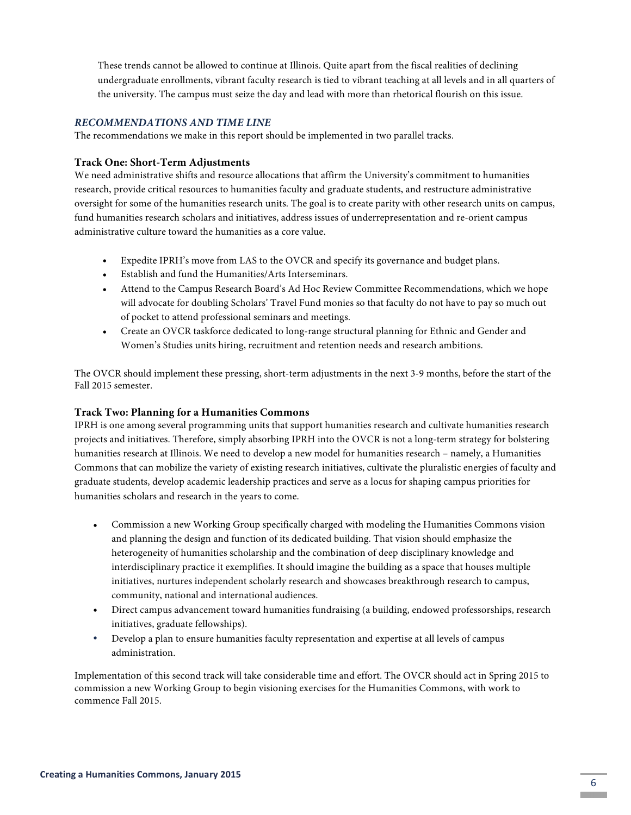These trends cannot be allowed to continue at Illinois. Quite apart from the fiscal realities of declining undergraduate enrollments, vibrant faculty research is tied to vibrant teaching at all levels and in all quarters of the university. The campus must seize the day and lead with more than rhetorical flourish on this issue.

#### *RECOMMENDATIONS AND TIME LINE*

The recommendations we make in this report should be implemented in two parallel tracks.

#### **Track One: Short-Term Adjustments**

We need administrative shifts and resource allocations that affirm the University's commitment to humanities research, provide critical resources to humanities faculty and graduate students, and restructure administrative oversight for some of the humanities research units. The goal is to create parity with other research units on campus, fund humanities research scholars and initiatives, address issues of underrepresentation and re-orient campus administrative culture toward the humanities as a core value.

- Expedite IPRH's move from LAS to the OVCR and specify its governance and budget plans.
- Establish and fund the Humanities/Arts Interseminars.
- Attend to the Campus Research Board's Ad Hoc Review Committee Recommendations, which we hope will advocate for doubling Scholars' Travel Fund monies so that faculty do not have to pay so much out of pocket to attend professional seminars and meetings.
- Create an OVCR taskforce dedicated to long-range structural planning for Ethnic and Gender and Women's Studies units hiring, recruitment and retention needs and research ambitions.

The OVCR should implement these pressing, short-term adjustments in the next 3-9 months, before the start of the Fall 2015 semester.

#### **Track Two: Planning for a Humanities Commons**

IPRH is one among several programming units that support humanities research and cultivate humanities research projects and initiatives. Therefore, simply absorbing IPRH into the OVCR is not a long-term strategy for bolstering humanities research at Illinois. We need to develop a new model for humanities research – namely, a Humanities Commons that can mobilize the variety of existing research initiatives, cultivate the pluralistic energies of faculty and graduate students, develop academic leadership practices and serve as a locus for shaping campus priorities for humanities scholars and research in the years to come.

- Commission a new Working Group specifically charged with modeling the Humanities Commons vision and planning the design and function of its dedicated building. That vision should emphasize the heterogeneity of humanities scholarship and the combination of deep disciplinary knowledge and interdisciplinary practice it exemplifies. It should imagine the building as a space that houses multiple initiatives, nurtures independent scholarly research and showcases breakthrough research to campus, community, national and international audiences.
- Direct campus advancement toward humanities fundraising (a building, endowed professorships, research initiatives, graduate fellowships).
- Develop a plan to ensure humanities faculty representation and expertise at all levels of campus administration.

Implementation of this second track will take considerable time and effort. The OVCR should act in Spring 2015 to commission a new Working Group to begin visioning exercises for the Humanities Commons, with work to commence Fall 2015.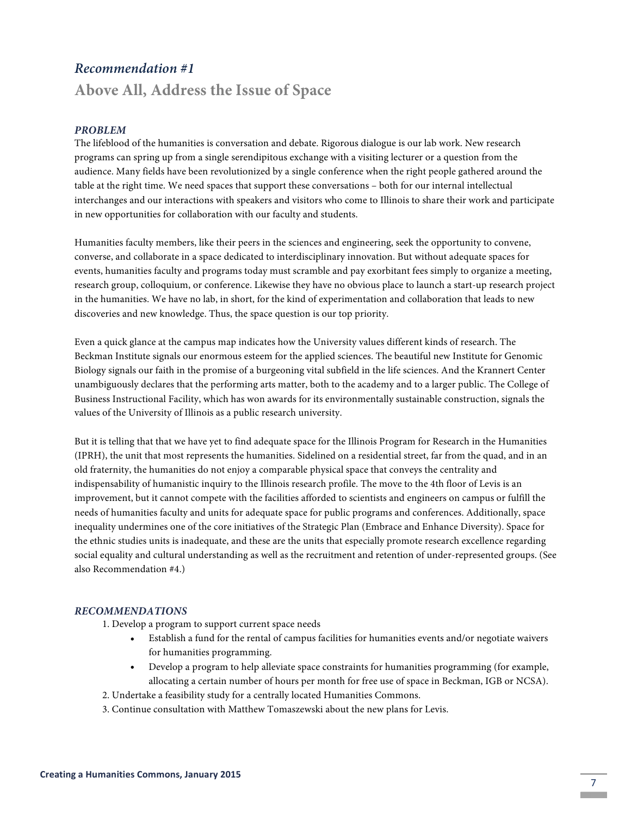### *Recommendation #1*

# **Above All, Address the Issue of Space**

#### *PROBLEM*

The lifeblood of the humanities is conversation and debate. Rigorous dialogue is our lab work. New research programs can spring up from a single serendipitous exchange with a visiting lecturer or a question from the audience. Many fields have been revolutionized by a single conference when the right people gathered around the table at the right time. We need spaces that support these conversations – both for our internal intellectual interchanges and our interactions with speakers and visitors who come to Illinois to share their work and participate in new opportunities for collaboration with our faculty and students.

Humanities faculty members, like their peers in the sciences and engineering, seek the opportunity to convene, converse, and collaborate in a space dedicated to interdisciplinary innovation. But without adequate spaces for events, humanities faculty and programs today must scramble and pay exorbitant fees simply to organize a meeting, research group, colloquium, or conference. Likewise they have no obvious place to launch a start-up research project in the humanities. We have no lab, in short, for the kind of experimentation and collaboration that leads to new discoveries and new knowledge. Thus, the space question is our top priority.

Even a quick glance at the campus map indicates how the University values different kinds of research. The Beckman Institute signals our enormous esteem for the applied sciences. The beautiful new Institute for Genomic Biology signals our faith in the promise of a burgeoning vital subfield in the life sciences. And the Krannert Center unambiguously declares that the performing arts matter, both to the academy and to a larger public. The College of Business Instructional Facility, which has won awards for its environmentally sustainable construction, signals the values of the University of Illinois as a public research university.

But it is telling that that we have yet to find adequate space for the Illinois Program for Research in the Humanities (IPRH), the unit that most represents the humanities. Sidelined on a residential street, far from the quad, and in an old fraternity, the humanities do not enjoy a comparable physical space that conveys the centrality and indispensability of humanistic inquiry to the Illinois research profile. The move to the 4th floor of Levis is an improvement, but it cannot compete with the facilities afforded to scientists and engineers on campus or fulfill the needs of humanities faculty and units for adequate space for public programs and conferences. Additionally, space inequality undermines one of the core initiatives of the Strategic Plan (Embrace and Enhance Diversity). Space for the ethnic studies units is inadequate, and these are the units that especially promote research excellence regarding social equality and cultural understanding as well as the recruitment and retention of under-represented groups. (See also Recommendation #4.)

#### *RECOMMENDATIONS*

- 1. Develop a program to support current space needs
	- Establish a fund for the rental of campus facilities for humanities events and/or negotiate waivers for humanities programming.
	- Develop a program to help alleviate space constraints for humanities programming (for example, allocating a certain number of hours per month for free use of space in Beckman, IGB or NCSA).
- 2. Undertake a feasibility study for a centrally located Humanities Commons.
- 3. Continue consultation with Matthew Tomaszewski about the new plans for Levis.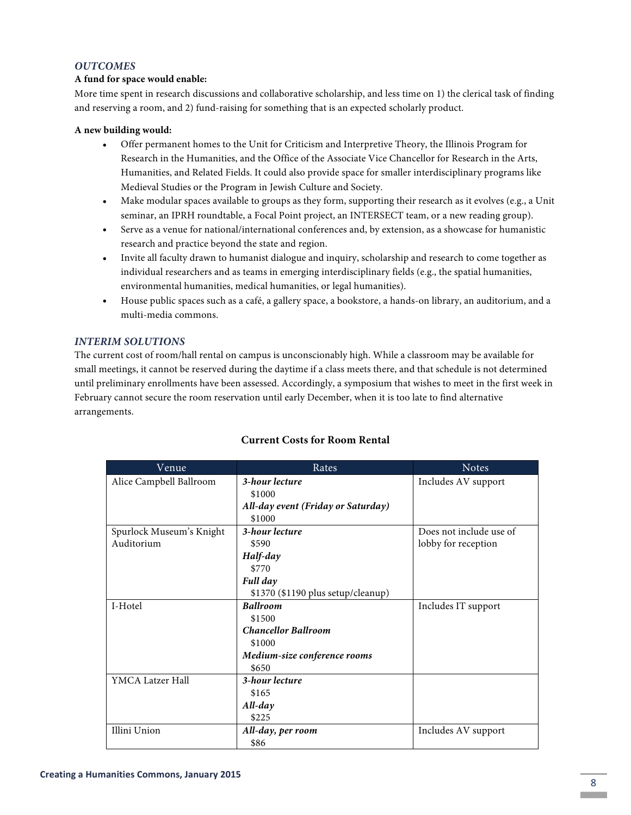#### *OUTCOMES*

#### **A fund for space would enable:**

More time spent in research discussions and collaborative scholarship, and less time on 1) the clerical task of finding and reserving a room, and 2) fund-raising for something that is an expected scholarly product.

#### **A new building would:**

- Offer permanent homes to the Unit for Criticism and Interpretive Theory, the Illinois Program for Research in the Humanities, and the Office of the Associate Vice Chancellor for Research in the Arts, Humanities, and Related Fields. It could also provide space for smaller interdisciplinary programs like Medieval Studies or the Program in Jewish Culture and Society.
- Make modular spaces available to groups as they form, supporting their research as it evolves (e.g., a Unit seminar, an IPRH roundtable, a Focal Point project, an INTERSECT team, or a new reading group).
- Serve as a venue for national/international conferences and, by extension, as a showcase for humanistic research and practice beyond the state and region.
- Invite all faculty drawn to humanist dialogue and inquiry, scholarship and research to come together as individual researchers and as teams in emerging interdisciplinary fields (e.g., the spatial humanities, environmental humanities, medical humanities, or legal humanities).
- House public spaces such as a café, a gallery space, a bookstore, a hands-on library, an auditorium, and a multi-media commons.

#### *INTERIM SOLUTIONS*

The current cost of room/hall rental on campus is unconscionably high. While a classroom may be available for small meetings, it cannot be reserved during the daytime if a class meets there, and that schedule is not determined until preliminary enrollments have been assessed. Accordingly, a symposium that wishes to meet in the first week in February cannot secure the room reservation until early December, when it is too late to find alternative arrangements.

| Venue                    | Rates                              | <b>Notes</b>            |
|--------------------------|------------------------------------|-------------------------|
| Alice Campbell Ballroom  | 3-hour lecture                     | Includes AV support     |
|                          | \$1000                             |                         |
|                          | All-day event (Friday or Saturday) |                         |
|                          | \$1000                             |                         |
| Spurlock Museum's Knight | 3-hour lecture                     | Does not include use of |
| Auditorium               | \$590                              | lobby for reception     |
|                          | Half-day                           |                         |
|                          | \$770                              |                         |
|                          | Full day                           |                         |
|                          | \$1370 (\$1190 plus setup/cleanup) |                         |
| I-Hotel                  | <b>Ballroom</b>                    | Includes IT support     |
|                          | \$1500                             |                         |
|                          | <b>Chancellor Ballroom</b>         |                         |
|                          | \$1000                             |                         |
|                          | Medium-size conference rooms       |                         |
|                          | \$650                              |                         |
| YMCA Latzer Hall         | 3-hour lecture                     |                         |
|                          | \$165                              |                         |
|                          | All-day                            |                         |
|                          | \$225                              |                         |
| Illini Union             | All-day, per room                  | Includes AV support     |
|                          | \$86                               |                         |

#### **Current Costs for Room Rental**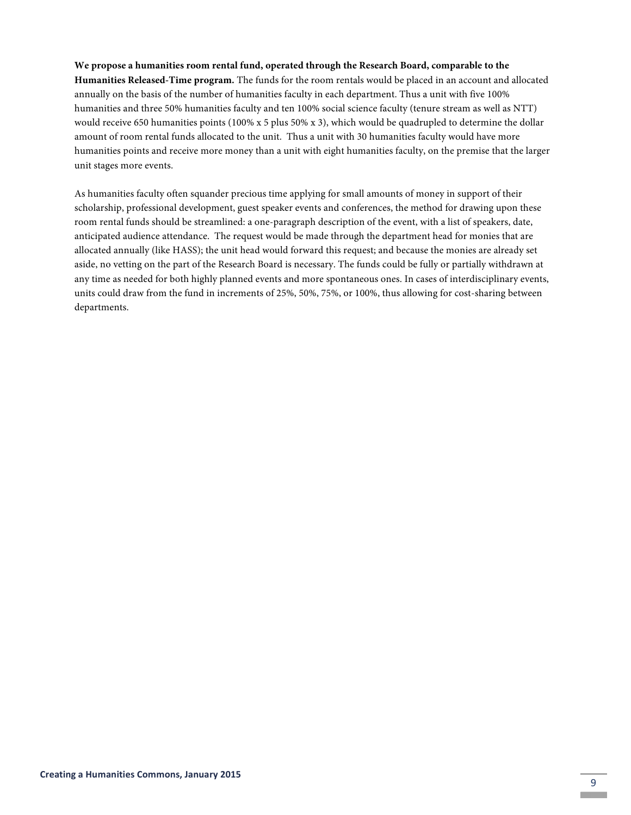### **We propose a humanities room rental fund, operated through the Research Board, comparable to the**

**Humanities Released-Time program.** The funds for the room rentals would be placed in an account and allocated annually on the basis of the number of humanities faculty in each department. Thus a unit with five 100% humanities and three 50% humanities faculty and ten 100% social science faculty (tenure stream as well as NTT) would receive 650 humanities points (100% x 5 plus 50% x 3), which would be quadrupled to determine the dollar amount of room rental funds allocated to the unit. Thus a unit with 30 humanities faculty would have more humanities points and receive more money than a unit with eight humanities faculty, on the premise that the larger unit stages more events.

As humanities faculty often squander precious time applying for small amounts of money in support of their scholarship, professional development, guest speaker events and conferences, the method for drawing upon these room rental funds should be streamlined: a one-paragraph description of the event, with a list of speakers, date, anticipated audience attendance. The request would be made through the department head for monies that are allocated annually (like HASS); the unit head would forward this request; and because the monies are already set aside, no vetting on the part of the Research Board is necessary. The funds could be fully or partially withdrawn at any time as needed for both highly planned events and more spontaneous ones. In cases of interdisciplinary events, units could draw from the fund in increments of 25%, 50%, 75%, or 100%, thus allowing for cost-sharing between departments.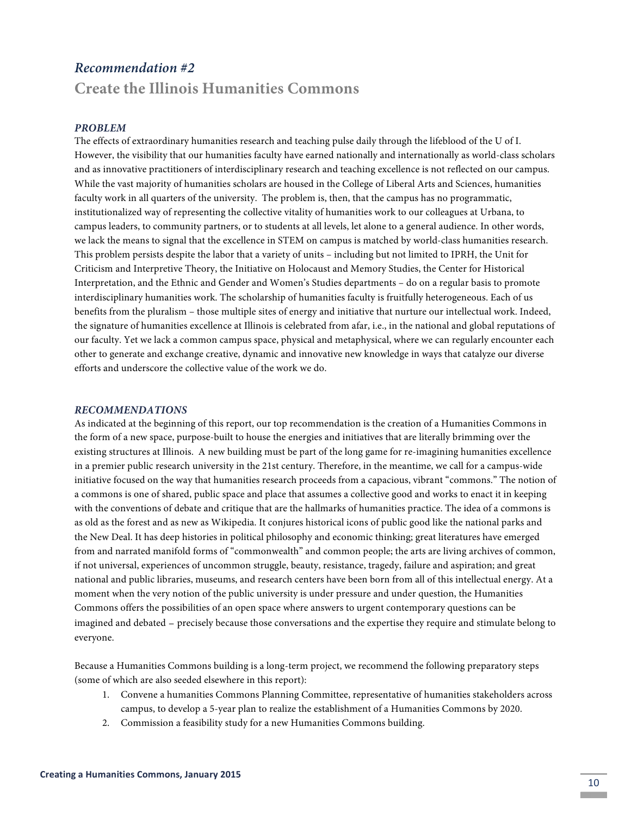# *Recommendation #2*

# **Create the Illinois Humanities Commons**

### *PROBLEM*

The effects of extraordinary humanities research and teaching pulse daily through the lifeblood of the U of I. However, the visibility that our humanities faculty have earned nationally and internationally as world-class scholars and as innovative practitioners of interdisciplinary research and teaching excellence is not reflected on our campus. While the vast majority of humanities scholars are housed in the College of Liberal Arts and Sciences, humanities faculty work in all quarters of the university. The problem is, then, that the campus has no programmatic, institutionalized way of representing the collective vitality of humanities work to our colleagues at Urbana, to campus leaders, to community partners, or to students at all levels, let alone to a general audience. In other words, we lack the means to signal that the excellence in STEM on campus is matched by world-class humanities research. This problem persists despite the labor that a variety of units – including but not limited to IPRH, the Unit for Criticism and Interpretive Theory, the Initiative on Holocaust and Memory Studies, the Center for Historical Interpretation, and the Ethnic and Gender and Women's Studies departments – do on a regular basis to promote interdisciplinary humanities work. The scholarship of humanities faculty is fruitfully heterogeneous. Each of us benefits from the pluralism – those multiple sites of energy and initiative that nurture our intellectual work. Indeed, the signature of humanities excellence at Illinois is celebrated from afar, i.e., in the national and global reputations of our faculty. Yet we lack a common campus space, physical and metaphysical, where we can regularly encounter each other to generate and exchange creative, dynamic and innovative new knowledge in ways that catalyze our diverse efforts and underscore the collective value of the work we do.

#### *RECOMMENDATIONS*

As indicated at the beginning of this report, our top recommendation is the creation of a Humanities Commons in the form of a new space, purpose-built to house the energies and initiatives that are literally brimming over the existing structures at Illinois. A new building must be part of the long game for re-imagining humanities excellence in a premier public research university in the 21st century. Therefore, in the meantime, we call for a campus-wide initiative focused on the way that humanities research proceeds from a capacious, vibrant "commons." The notion of a commons is one of shared, public space and place that assumes a collective good and works to enact it in keeping with the conventions of debate and critique that are the hallmarks of humanities practice. The idea of a commons is as old as the forest and as new as Wikipedia. It conjures historical icons of public good like the national parks and the New Deal. It has deep histories in political philosophy and economic thinking; great literatures have emerged from and narrated manifold forms of "commonwealth" and common people; the arts are living archives of common, if not universal, experiences of uncommon struggle, beauty, resistance, tragedy, failure and aspiration; and great national and public libraries, museums, and research centers have been born from all of this intellectual energy. At a moment when the very notion of the public university is under pressure and under question, the Humanities Commons offers the possibilities of an open space where answers to urgent contemporary questions can be imagined and debated – precisely because those conversations and the expertise they require and stimulate belong to everyone.

Because a Humanities Commons building is a long-term project, we recommend the following preparatory steps (some of which are also seeded elsewhere in this report):

- 1. Convene a humanities Commons Planning Committee, representative of humanities stakeholders across campus, to develop a 5-year plan to realize the establishment of a Humanities Commons by 2020.
- 2. Commission a feasibility study for a new Humanities Commons building.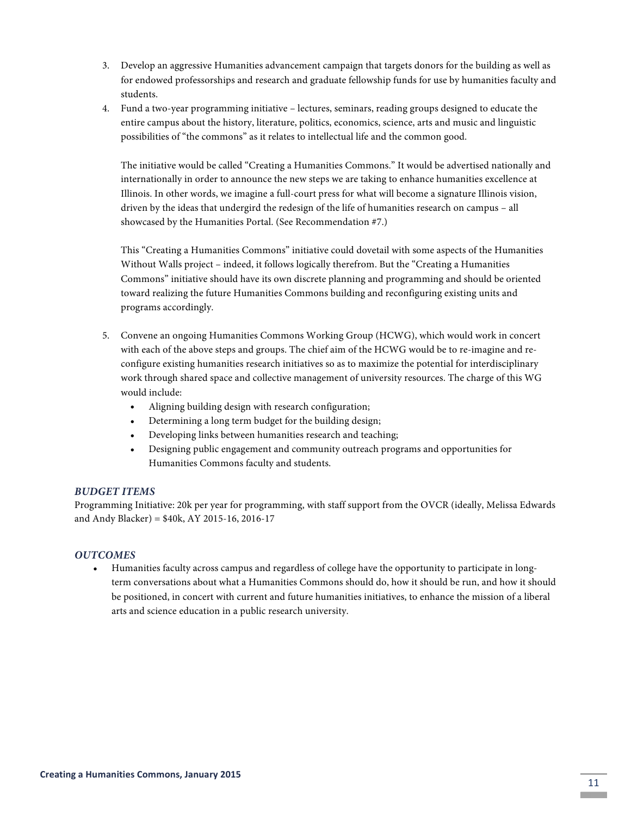- 3. Develop an aggressive Humanities advancement campaign that targets donors for the building as well as for endowed professorships and research and graduate fellowship funds for use by humanities faculty and students.
- 4. Fund a two-year programming initiative lectures, seminars, reading groups designed to educate the entire campus about the history, literature, politics, economics, science, arts and music and linguistic possibilities of "the commons" as it relates to intellectual life and the common good.

The initiative would be called "Creating a Humanities Commons." It would be advertised nationally and internationally in order to announce the new steps we are taking to enhance humanities excellence at Illinois. In other words, we imagine a full-court press for what will become a signature Illinois vision, driven by the ideas that undergird the redesign of the life of humanities research on campus – all showcased by the Humanities Portal. (See Recommendation #7.)

This "Creating a Humanities Commons" initiative could dovetail with some aspects of the Humanities Without Walls project – indeed, it follows logically therefrom. But the "Creating a Humanities Commons" initiative should have its own discrete planning and programming and should be oriented toward realizing the future Humanities Commons building and reconfiguring existing units and programs accordingly.

- 5. Convene an ongoing Humanities Commons Working Group (HCWG), which would work in concert with each of the above steps and groups. The chief aim of the HCWG would be to re-imagine and reconfigure existing humanities research initiatives so as to maximize the potential for interdisciplinary work through shared space and collective management of university resources. The charge of this WG would include:
	- Aligning building design with research configuration;
	- Determining a long term budget for the building design;
	- Developing links between humanities research and teaching;
	- Designing public engagement and community outreach programs and opportunities for Humanities Commons faculty and students.

#### *BUDGET ITEMS*

Programming Initiative: 20k per year for programming, with staff support from the OVCR (ideally, Melissa Edwards and Andy Blacker) = \$40k, AY 2015-16, 2016-17

#### *OUTCOMES*

• Humanities faculty across campus and regardless of college have the opportunity to participate in longterm conversations about what a Humanities Commons should do, how it should be run, and how it should be positioned, in concert with current and future humanities initiatives, to enhance the mission of a liberal arts and science education in a public research university.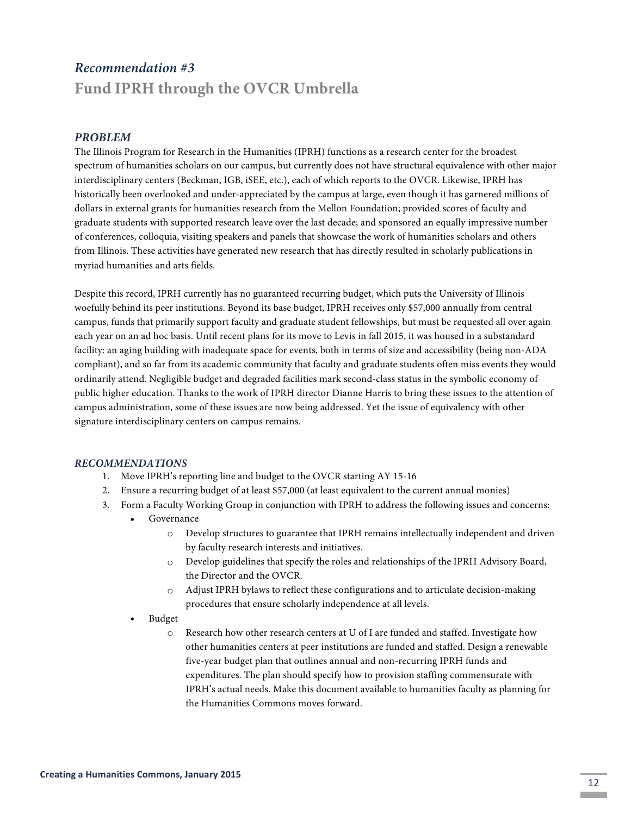# *Recommendation #3* **Fund IPRH through the OVCR Umbrella**

#### *PROBLEM*

The Illinois Program for Research in the Humanities (IPRH) functions as a research center for the broadest spectrum of humanities scholars on our campus, but currently does not have structural equivalence with other major interdisciplinary centers (Beckman, IGB, iSEE, etc.), each of which reports to the OVCR. Likewise, IPRH has historically been overlooked and under-appreciated by the campus at large, even though it has garnered millions of dollars in external grants for humanities research from the Mellon Foundation; provided scores of faculty and graduate students with supported research leave over the last decade; and sponsored an equally impressive number of conferences, colloquia, visiting speakers and panels that showcase the work of humanities scholars and others from Illinois. These activities have generated new research that has directly resulted in scholarly publications in myriad humanities and arts fields.

Despite this record, IPRH currently has no guaranteed recurring budget, which puts the University of Illinois woefully behind its peer institutions. Beyond its base budget, IPRH receives only \$57,000 annually from central campus, funds that primarily support faculty and graduate student fellowships, but must be requested all over again each year on an ad hoc basis. Until recent plans for its move to Levis in fall 2015, it was housed in a substandard facility: an aging building with inadequate space for events, both in terms of size and accessibility (being non-ADA compliant), and so far from its academic community that faculty and graduate students often miss events they would ordinarily attend. Negligible budget and degraded facilities mark second-class status in the symbolic economy of public higher education. Thanks to the work of IPRH director Dianne Harris to bring these issues to the attention of campus administration, some of these issues are now being addressed. Yet the issue of equivalency with other signature interdisciplinary centers on campus remains.

#### *RECOMMENDATIONS*

- 1. Move IPRH's reporting line and budget to the OVCR starting AY 15-16
- 2. Ensure a recurring budget of at least \$57,000 (at least equivalent to the current annual monies)
- 3. Form a Faculty Working Group in conjunction with IPRH to address the following issues and concerns:
	- Governance
		- o Develop structures to guarantee that IPRH remains intellectually independent and driven by faculty research interests and initiatives.
		- o Develop guidelines that specify the roles and relationships of the IPRH Advisory Board, the Director and the OVCR.
		- o Adjust IPRH bylaws to reflect these configurations and to articulate decision-making procedures that ensure scholarly independence at all levels.
	- Budget
		- Research how other research centers at U of I are funded and staffed. Investigate how other humanities centers at peer institutions are funded and staffed. Design a renewable five-year budget plan that outlines annual and non-recurring IPRH funds and expenditures. The plan should specify how to provision staffing commensurate with IPRH's actual needs. Make this document available to humanities faculty as planning for the Humanities Commons moves forward.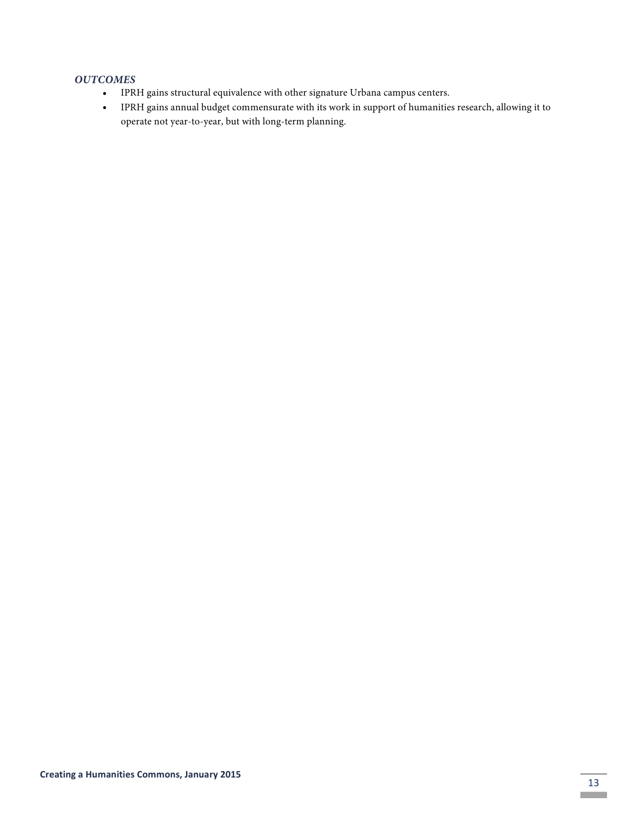- IPRH gains structural equivalence with other signature Urbana campus centers.
- IPRH gains annual budget commensurate with its work in support of humanities research, allowing it to operate not year-to-year, but with long-term planning.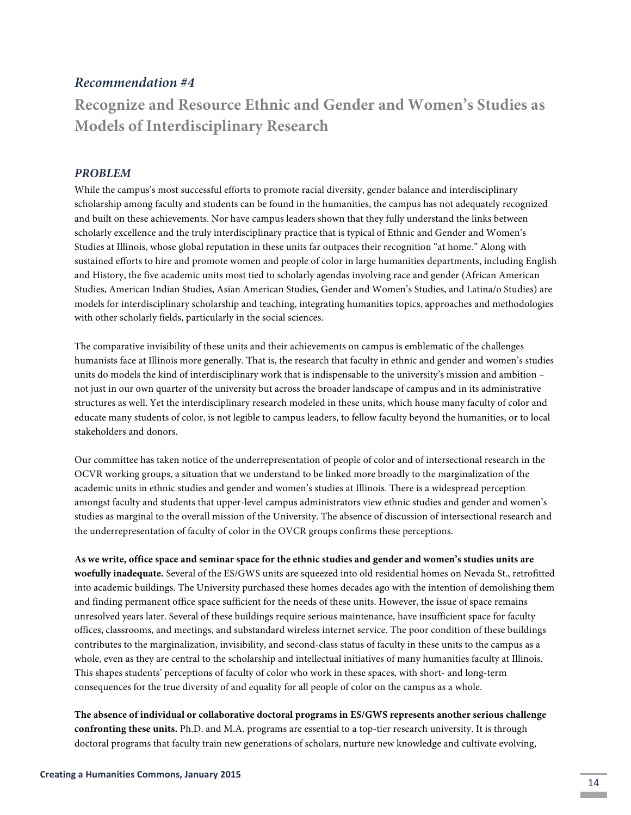### *Recommendation #4*

**Recognize and Resource Ethnic and Gender and Women's Studies as Models of Interdisciplinary Research**

#### *PROBLEM*

While the campus's most successful efforts to promote racial diversity, gender balance and interdisciplinary scholarship among faculty and students can be found in the humanities, the campus has not adequately recognized and built on these achievements. Nor have campus leaders shown that they fully understand the links between scholarly excellence and the truly interdisciplinary practice that is typical of Ethnic and Gender and Women's Studies at Illinois, whose global reputation in these units far outpaces their recognition "at home." Along with sustained efforts to hire and promote women and people of color in large humanities departments, including English and History, the five academic units most tied to scholarly agendas involving race and gender (African American Studies, American Indian Studies, Asian American Studies, Gender and Women's Studies, and Latina/o Studies) are models for interdisciplinary scholarship and teaching, integrating humanities topics, approaches and methodologies with other scholarly fields, particularly in the social sciences.

The comparative invisibility of these units and their achievements on campus is emblematic of the challenges humanists face at Illinois more generally. That is, the research that faculty in ethnic and gender and women's studies units do models the kind of interdisciplinary work that is indispensable to the university's mission and ambition – not just in our own quarter of the university but across the broader landscape of campus and in its administrative structures as well. Yet the interdisciplinary research modeled in these units, which house many faculty of color and educate many students of color, is not legible to campus leaders, to fellow faculty beyond the humanities, or to local stakeholders and donors.

Our committee has taken notice of the underrepresentation of people of color and of intersectional research in the OCVR working groups, a situation that we understand to be linked more broadly to the marginalization of the academic units in ethnic studies and gender and women's studies at Illinois. There is a widespread perception amongst faculty and students that upper-level campus administrators view ethnic studies and gender and women's studies as marginal to the overall mission of the University. The absence of discussion of intersectional research and the underrepresentation of faculty of color in the OVCR groups confirms these perceptions.

**As we write, office space and seminar space for the ethnic studies and gender and women's studies units are woefully inadequate.** Several of the ES/GWS units are squeezed into old residential homes on Nevada St., retrofitted into academic buildings. The University purchased these homes decades ago with the intention of demolishing them and finding permanent office space sufficient for the needs of these units. However, the issue of space remains unresolved years later. Several of these buildings require serious maintenance, have insufficient space for faculty offices, classrooms, and meetings, and substandard wireless internet service. The poor condition of these buildings contributes to the marginalization, invisibility, and second-class status of faculty in these units to the campus as a whole, even as they are central to the scholarship and intellectual initiatives of many humanities faculty at Illinois. This shapes students' perceptions of faculty of color who work in these spaces, with short- and long-term consequences for the true diversity of and equality for all people of color on the campus as a whole.

**The absence of individual or collaborative doctoral programs in ES/GWS represents another serious challenge confronting these units.** Ph.D. and M.A. programs are essential to a top-tier research university. It is through doctoral programs that faculty train new generations of scholars, nurture new knowledge and cultivate evolving,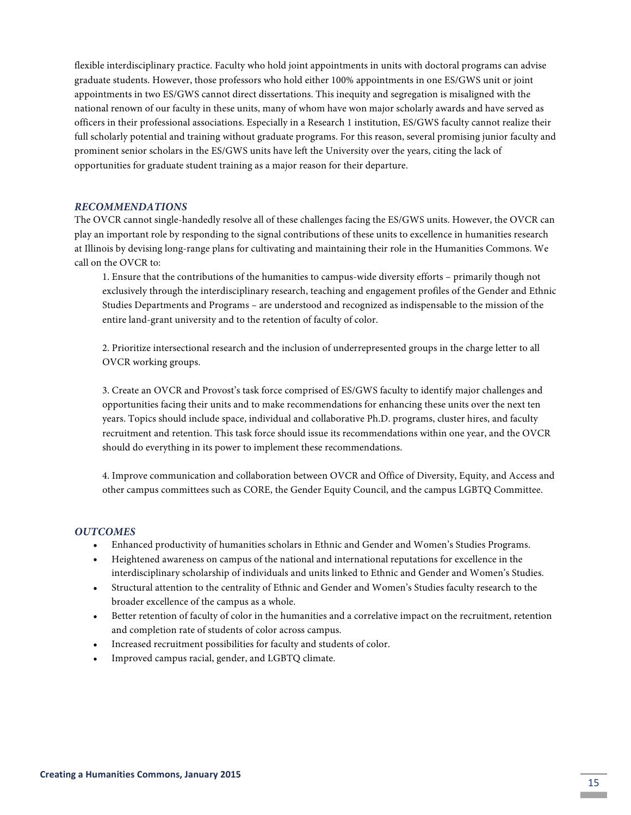flexible interdisciplinary practice. Faculty who hold joint appointments in units with doctoral programs can advise graduate students. However, those professors who hold either 100% appointments in one ES/GWS unit or joint appointments in two ES/GWS cannot direct dissertations. This inequity and segregation is misaligned with the national renown of our faculty in these units, many of whom have won major scholarly awards and have served as officers in their professional associations. Especially in a Research 1 institution, ES/GWS faculty cannot realize their full scholarly potential and training without graduate programs. For this reason, several promising junior faculty and prominent senior scholars in the ES/GWS units have left the University over the years, citing the lack of opportunities for graduate student training as a major reason for their departure.

#### *RECOMMENDATIONS*

The OVCR cannot single-handedly resolve all of these challenges facing the ES/GWS units. However, the OVCR can play an important role by responding to the signal contributions of these units to excellence in humanities research at Illinois by devising long-range plans for cultivating and maintaining their role in the Humanities Commons. We call on the OVCR to:

1. Ensure that the contributions of the humanities to campus-wide diversity efforts – primarily though not exclusively through the interdisciplinary research, teaching and engagement profiles of the Gender and Ethnic Studies Departments and Programs – are understood and recognized as indispensable to the mission of the entire land-grant university and to the retention of faculty of color.

2. Prioritize intersectional research and the inclusion of underrepresented groups in the charge letter to all OVCR working groups.

3. Create an OVCR and Provost's task force comprised of ES/GWS faculty to identify major challenges and opportunities facing their units and to make recommendations for enhancing these units over the next ten years. Topics should include space, individual and collaborative Ph.D. programs, cluster hires, and faculty recruitment and retention. This task force should issue its recommendations within one year, and the OVCR should do everything in its power to implement these recommendations.

4. Improve communication and collaboration between OVCR and Office of Diversity, Equity, and Access and other campus committees such as CORE, the Gender Equity Council, and the campus LGBTQ Committee.

- Enhanced productivity of humanities scholars in Ethnic and Gender and Women's Studies Programs.
- Heightened awareness on campus of the national and international reputations for excellence in the interdisciplinary scholarship of individuals and units linked to Ethnic and Gender and Women's Studies.
- Structural attention to the centrality of Ethnic and Gender and Women's Studies faculty research to the broader excellence of the campus as a whole.
- Better retention of faculty of color in the humanities and a correlative impact on the recruitment, retention and completion rate of students of color across campus.
- Increased recruitment possibilities for faculty and students of color.
- Improved campus racial, gender, and LGBTQ climate.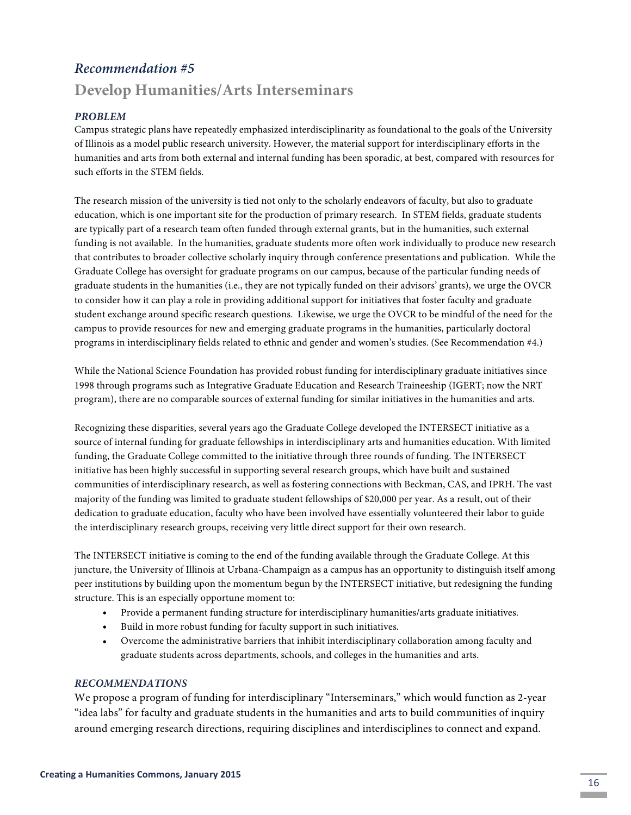# *Recommendation #5*

# **Develop Humanities/Arts Interseminars**

#### *PROBLEM*

Campus strategic plans have repeatedly emphasized interdisciplinarity as foundational to the goals of the University of Illinois as a model public research university. However, the material support for interdisciplinary efforts in the humanities and arts from both external and internal funding has been sporadic, at best, compared with resources for such efforts in the STEM fields.

The research mission of the university is tied not only to the scholarly endeavors of faculty, but also to graduate education, which is one important site for the production of primary research. In STEM fields, graduate students are typically part of a research team often funded through external grants, but in the humanities, such external funding is not available. In the humanities, graduate students more often work individually to produce new research that contributes to broader collective scholarly inquiry through conference presentations and publication. While the Graduate College has oversight for graduate programs on our campus, because of the particular funding needs of graduate students in the humanities (i.e., they are not typically funded on their advisors' grants), we urge the OVCR to consider how it can play a role in providing additional support for initiatives that foster faculty and graduate student exchange around specific research questions. Likewise, we urge the OVCR to be mindful of the need for the campus to provide resources for new and emerging graduate programs in the humanities, particularly doctoral programs in interdisciplinary fields related to ethnic and gender and women's studies. (See Recommendation #4.)

While the National Science Foundation has provided robust funding for interdisciplinary graduate initiatives since 1998 through programs such as Integrative Graduate Education and Research Traineeship (IGERT; now the NRT program), there are no comparable sources of external funding for similar initiatives in the humanities and arts.

Recognizing these disparities, several years ago the Graduate College developed the INTERSECT initiative as a source of internal funding for graduate fellowships in interdisciplinary arts and humanities education. With limited funding, the Graduate College committed to the initiative through three rounds of funding. The INTERSECT initiative has been highly successful in supporting several research groups, which have built and sustained communities of interdisciplinary research, as well as fostering connections with Beckman, CAS, and IPRH. The vast majority of the funding was limited to graduate student fellowships of \$20,000 per year. As a result, out of their dedication to graduate education, faculty who have been involved have essentially volunteered their labor to guide the interdisciplinary research groups, receiving very little direct support for their own research.

The INTERSECT initiative is coming to the end of the funding available through the Graduate College. At this juncture, the University of Illinois at Urbana-Champaign as a campus has an opportunity to distinguish itself among peer institutions by building upon the momentum begun by the INTERSECT initiative, but redesigning the funding structure. This is an especially opportune moment to:

- Provide a permanent funding structure for interdisciplinary humanities/arts graduate initiatives.
- Build in more robust funding for faculty support in such initiatives.
- Overcome the administrative barriers that inhibit interdisciplinary collaboration among faculty and graduate students across departments, schools, and colleges in the humanities and arts.

#### *RECOMMENDATIONS*

We propose a program of funding for interdisciplinary "Interseminars," which would function as 2-year "idea labs" for faculty and graduate students in the humanities and arts to build communities of inquiry around emerging research directions, requiring disciplines and interdisciplines to connect and expand.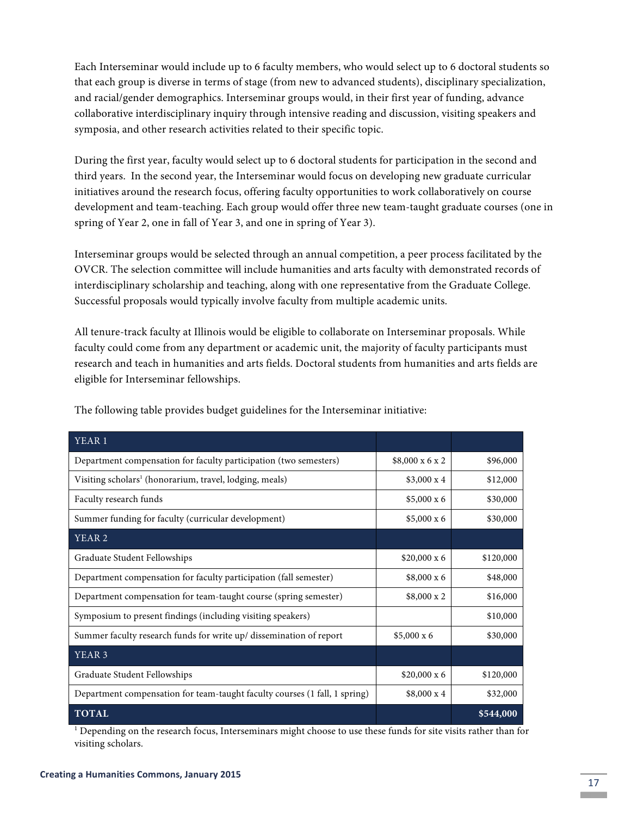Each Interseminar would include up to 6 faculty members, who would select up to 6 doctoral students so that each group is diverse in terms of stage (from new to advanced students), disciplinary specialization, and racial/gender demographics. Interseminar groups would, in their first year of funding, advance collaborative interdisciplinary inquiry through intensive reading and discussion, visiting speakers and symposia, and other research activities related to their specific topic.

During the first year, faculty would select up to 6 doctoral students for participation in the second and third years. In the second year, the Interseminar would focus on developing new graduate curricular initiatives around the research focus, offering faculty opportunities to work collaboratively on course development and team-teaching. Each group would offer three new team-taught graduate courses (one in spring of Year 2, one in fall of Year 3, and one in spring of Year 3).

Interseminar groups would be selected through an annual competition, a peer process facilitated by the OVCR. The selection committee will include humanities and arts faculty with demonstrated records of interdisciplinary scholarship and teaching, along with one representative from the Graduate College. Successful proposals would typically involve faculty from multiple academic units.

All tenure-track faculty at Illinois would be eligible to collaborate on Interseminar proposals. While faculty could come from any department or academic unit, the majority of faculty participants must research and teach in humanities and arts fields. Doctoral students from humanities and arts fields are eligible for Interseminar fellowships.

| YEAR <sub>1</sub>                                                          |                    |           |
|----------------------------------------------------------------------------|--------------------|-----------|
| Department compensation for faculty participation (two semesters)          | \$8,000 x 6 x 2    | \$96,000  |
| Visiting scholars <sup>1</sup> (honorarium, travel, lodging, meals)        | $$3,000 \times 4$  | \$12,000  |
| Faculty research funds                                                     | $$5,000 \times 6$  | \$30,000  |
| Summer funding for faculty (curricular development)                        | $$5,000 \times 6$  | \$30,000  |
| YEAR <sub>2</sub>                                                          |                    |           |
| Graduate Student Fellowships                                               | $$20,000 \times 6$ | \$120,000 |
| Department compensation for faculty participation (fall semester)          | $$8,000 \times 6$  | \$48,000  |
| Department compensation for team-taught course (spring semester)           | $$8,000 \times 2$  | \$16,000  |
| Symposium to present findings (including visiting speakers)                |                    | \$10,000  |
| Summer faculty research funds for write up/ dissemination of report        | $$5,000 \times 6$  | \$30,000  |
| YEAR <sub>3</sub>                                                          |                    |           |
| Graduate Student Fellowships                                               | $$20,000 \times 6$ | \$120,000 |
| Department compensation for team-taught faculty courses (1 fall, 1 spring) | $$8,000 \times 4$  | \$32,000  |
| <b>TOTAL</b>                                                               |                    | \$544,000 |

The following table provides budget guidelines for the Interseminar initiative:

 $<sup>1</sup>$  Depending on the research focus, Interseminars might choose to use these funds for site visits rather than for</sup> visiting scholars.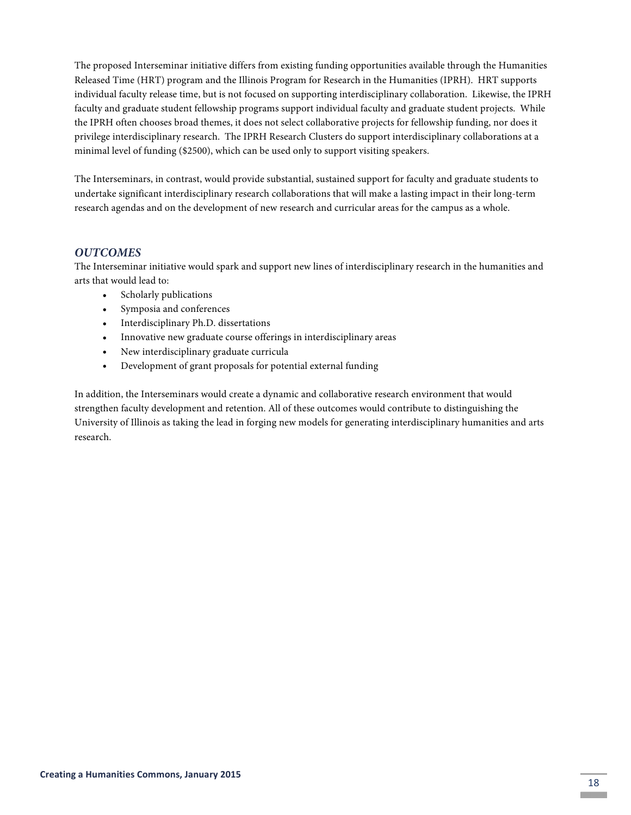The proposed Interseminar initiative differs from existing funding opportunities available through the Humanities Released Time (HRT) program and the Illinois Program for Research in the Humanities (IPRH). HRT supports individual faculty release time, but is not focused on supporting interdisciplinary collaboration. Likewise, the IPRH faculty and graduate student fellowship programs support individual faculty and graduate student projects. While the IPRH often chooses broad themes, it does not select collaborative projects for fellowship funding, nor does it privilege interdisciplinary research. The IPRH Research Clusters do support interdisciplinary collaborations at a minimal level of funding (\$2500), which can be used only to support visiting speakers.

The Interseminars, in contrast, would provide substantial, sustained support for faculty and graduate students to undertake significant interdisciplinary research collaborations that will make a lasting impact in their long-term research agendas and on the development of new research and curricular areas for the campus as a whole.

#### *OUTCOMES*

The Interseminar initiative would spark and support new lines of interdisciplinary research in the humanities and arts that would lead to:

- Scholarly publications
- Symposia and conferences
- Interdisciplinary Ph.D. dissertations
- Innovative new graduate course offerings in interdisciplinary areas
- New interdisciplinary graduate curricula
- Development of grant proposals for potential external funding

In addition, the Interseminars would create a dynamic and collaborative research environment that would strengthen faculty development and retention. All of these outcomes would contribute to distinguishing the University of Illinois as taking the lead in forging new models for generating interdisciplinary humanities and arts research.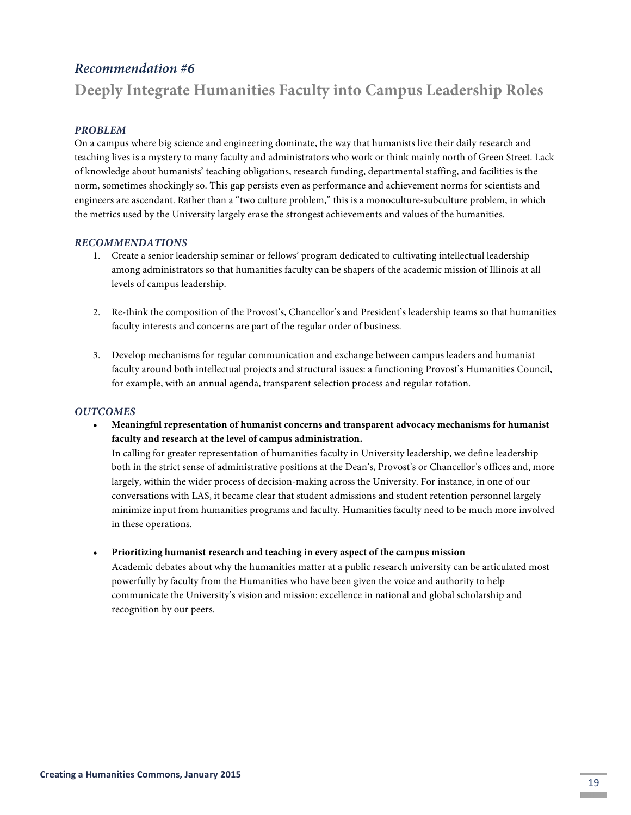## *Recommendation #6*

# **Deeply Integrate Humanities Faculty into Campus Leadership Roles**

#### *PROBLEM*

On a campus where big science and engineering dominate, the way that humanists live their daily research and teaching lives is a mystery to many faculty and administrators who work or think mainly north of Green Street. Lack of knowledge about humanists' teaching obligations, research funding, departmental staffing, and facilities is the norm, sometimes shockingly so. This gap persists even as performance and achievement norms for scientists and engineers are ascendant. Rather than a "two culture problem," this is a monoculture-subculture problem, in which the metrics used by the University largely erase the strongest achievements and values of the humanities.

#### *RECOMMENDATIONS*

- 1. Create a senior leadership seminar or fellows' program dedicated to cultivating intellectual leadership among administrators so that humanities faculty can be shapers of the academic mission of Illinois at all levels of campus leadership.
- 2. Re-think the composition of the Provost's, Chancellor's and President's leadership teams so that humanities faculty interests and concerns are part of the regular order of business.
- 3. Develop mechanisms for regular communication and exchange between campus leaders and humanist faculty around both intellectual projects and structural issues: a functioning Provost's Humanities Council, for example, with an annual agenda, transparent selection process and regular rotation.

#### *OUTCOMES*

• **Meaningful representation of humanist concerns and transparent advocacy mechanisms for humanist faculty and research at the level of campus administration.**

In calling for greater representation of humanities faculty in University leadership, we define leadership both in the strict sense of administrative positions at the Dean's, Provost's or Chancellor's offices and, more largely, within the wider process of decision-making across the University. For instance, in one of our conversations with LAS, it became clear that student admissions and student retention personnel largely minimize input from humanities programs and faculty. Humanities faculty need to be much more involved in these operations.

• **Prioritizing humanist research and teaching in every aspect of the campus mission** 

Academic debates about why the humanities matter at a public research university can be articulated most powerfully by faculty from the Humanities who have been given the voice and authority to help communicate the University's vision and mission: excellence in national and global scholarship and recognition by our peers.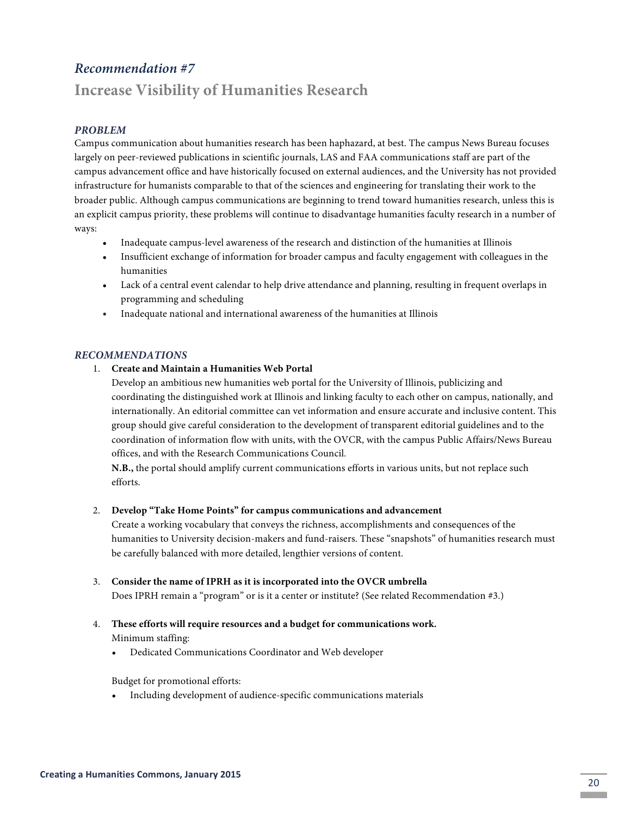# *Recommendation #7*

# **Increase Visibility of Humanities Research**

#### *PROBLEM*

Campus communication about humanities research has been haphazard, at best. The campus News Bureau focuses largely on peer-reviewed publications in scientific journals, LAS and FAA communications staff are part of the campus advancement office and have historically focused on external audiences, and the University has not provided infrastructure for humanists comparable to that of the sciences and engineering for translating their work to the broader public. Although campus communications are beginning to trend toward humanities research, unless this is an explicit campus priority, these problems will continue to disadvantage humanities faculty research in a number of ways:

- Inadequate campus-level awareness of the research and distinction of the humanities at Illinois
- Insufficient exchange of information for broader campus and faculty engagement with colleagues in the humanities
- Lack of a central event calendar to help drive attendance and planning, resulting in frequent overlaps in programming and scheduling
- Inadequate national and international awareness of the humanities at Illinois

#### *RECOMMENDATIONS*

1. **Create and Maintain a Humanities Web Portal**

Develop an ambitious new humanities web portal for the University of Illinois, publicizing and coordinating the distinguished work at Illinois and linking faculty to each other on campus, nationally, and internationally. An editorial committee can vet information and ensure accurate and inclusive content. This group should give careful consideration to the development of transparent editorial guidelines and to the coordination of information flow with units, with the OVCR, with the campus Public Affairs/News Bureau offices, and with the Research Communications Council.

**N.B.,** the portal should amplify current communications efforts in various units, but not replace such efforts.

#### 2. **Develop "Take Home Points" for campus communications and advancement**

Create a working vocabulary that conveys the richness, accomplishments and consequences of the humanities to University decision-makers and fund-raisers. These "snapshots" of humanities research must be carefully balanced with more detailed, lengthier versions of content.

#### 3. **Consider the name of IPRH as it is incorporated into the OVCR umbrella**

Does IPRH remain a "program" or is it a center or institute? (See related Recommendation #3.)

- 4. **These efforts will require resources and a budget for communications work.** Minimum staffing:
	- Dedicated Communications Coordinator and Web developer

Budget for promotional efforts:

• Including development of audience-specific communications materials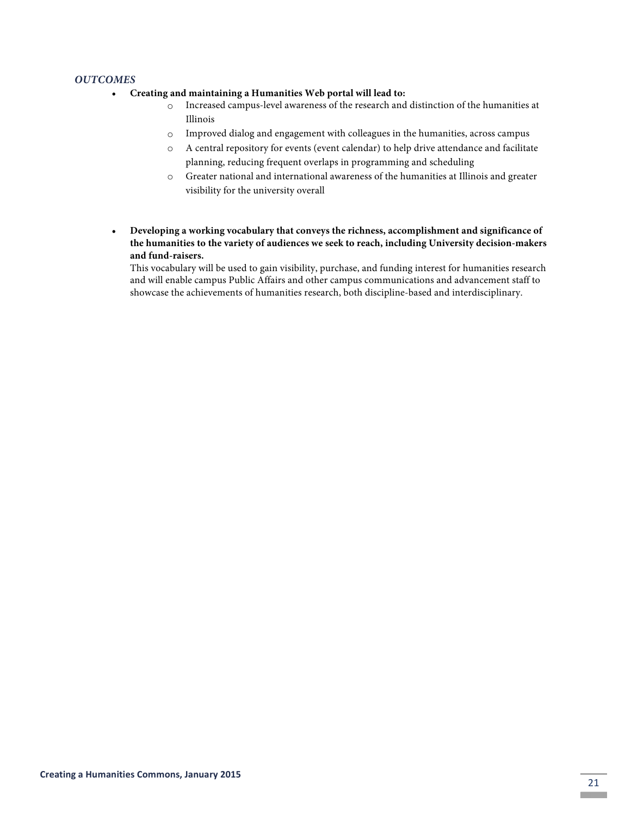#### *OUTCOMES*

- **Creating and maintaining a Humanities Web portal will lead to:**
	- o Increased campus-level awareness of the research and distinction of the humanities at Illinois
	- o Improved dialog and engagement with colleagues in the humanities, across campus
	- o A central repository for events (event calendar) to help drive attendance and facilitate planning, reducing frequent overlaps in programming and scheduling
	- o Greater national and international awareness of the humanities at Illinois and greater visibility for the university overall
- **Developing a working vocabulary that conveys the richness, accomplishment and significance of the humanities to the variety of audiences we seek to reach, including University decision-makers and fund-raisers.**

This vocabulary will be used to gain visibility, purchase, and funding interest for humanities research and will enable campus Public Affairs and other campus communications and advancement staff to showcase the achievements of humanities research, both discipline-based and interdisciplinary.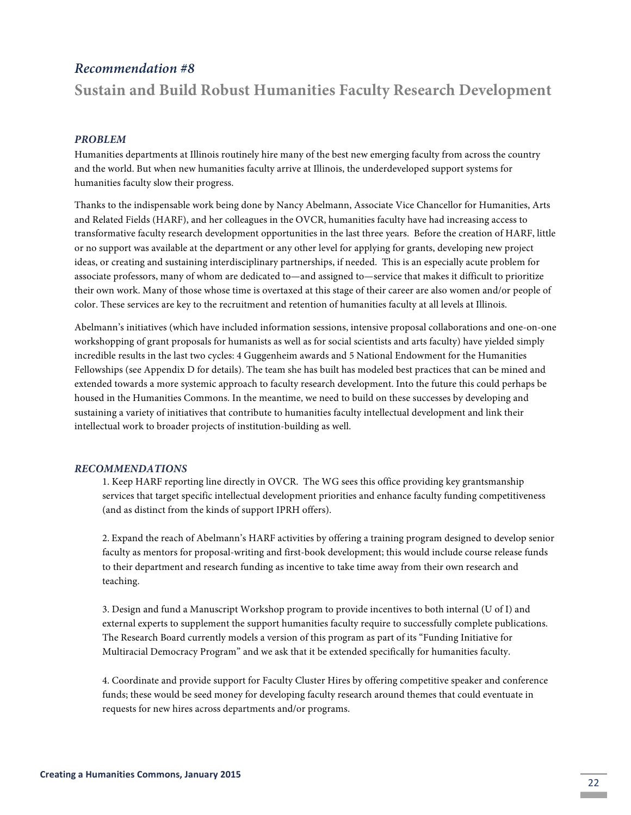### *Recommendation #8*

# **Sustain and Build Robust Humanities Faculty Research Development**

#### *PROBLEM*

Humanities departments at Illinois routinely hire many of the best new emerging faculty from across the country and the world. But when new humanities faculty arrive at Illinois, the underdeveloped support systems for humanities faculty slow their progress.

Thanks to the indispensable work being done by Nancy Abelmann, Associate Vice Chancellor for Humanities, Arts and Related Fields (HARF), and her colleagues in the OVCR, humanities faculty have had increasing access to transformative faculty research development opportunities in the last three years. Before the creation of HARF, little or no support was available at the department or any other level for applying for grants, developing new project ideas, or creating and sustaining interdisciplinary partnerships, if needed. This is an especially acute problem for associate professors, many of whom are dedicated to—and assigned to—service that makes it difficult to prioritize their own work. Many of those whose time is overtaxed at this stage of their career are also women and/or people of color. These services are key to the recruitment and retention of humanities faculty at all levels at Illinois.

Abelmann's initiatives (which have included information sessions, intensive proposal collaborations and one-on-one workshopping of grant proposals for humanists as well as for social scientists and arts faculty) have yielded simply incredible results in the last two cycles: 4 Guggenheim awards and 5 National Endowment for the Humanities Fellowships (see Appendix D for details). The team she has built has modeled best practices that can be mined and extended towards a more systemic approach to faculty research development. Into the future this could perhaps be housed in the Humanities Commons. In the meantime, we need to build on these successes by developing and sustaining a variety of initiatives that contribute to humanities faculty intellectual development and link their intellectual work to broader projects of institution-building as well.

#### *RECOMMENDATIONS*

1. Keep HARF reporting line directly in OVCR. The WG sees this office providing key grantsmanship services that target specific intellectual development priorities and enhance faculty funding competitiveness (and as distinct from the kinds of support IPRH offers).

2. Expand the reach of Abelmann's HARF activities by offering a training program designed to develop senior faculty as mentors for proposal-writing and first-book development; this would include course release funds to their department and research funding as incentive to take time away from their own research and teaching.

3. Design and fund a Manuscript Workshop program to provide incentives to both internal (U of I) and external experts to supplement the support humanities faculty require to successfully complete publications. The Research Board currently models a version of this program as part of its "Funding Initiative for Multiracial Democracy Program" and we ask that it be extended specifically for humanities faculty.

4. Coordinate and provide support for Faculty Cluster Hires by offering competitive speaker and conference funds; these would be seed money for developing faculty research around themes that could eventuate in requests for new hires across departments and/or programs.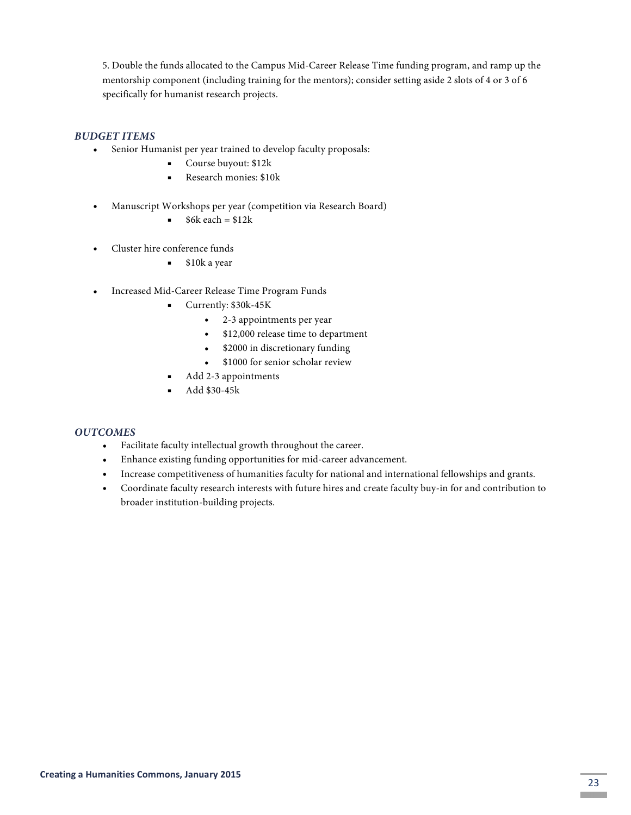5. Double the funds allocated to the Campus Mid-Career Release Time funding program, and ramp up the mentorship component (including training for the mentors); consider setting aside 2 slots of 4 or 3 of 6 specifically for humanist research projects.

#### *BUDGET ITEMS*

- Senior Humanist per year trained to develop faculty proposals:
	- ! Course buyout: \$12k
	- **Exerch monies: \$10k**
- Manuscript Workshops per year (competition via Research Board)
	- $\bullet$  \$6k each = \$12k
- Cluster hire conference funds
	- $\bullet$  \$10k a year
- Increased Mid-Career Release Time Program Funds
	- ! Currently: \$30k-45K
		- 2-3 appointments per year
		- \$12,000 release time to department
		- \$2000 in discretionary funding
		- \$1000 for senior scholar review
	- ! Add 2-3 appointments
	- ! Add \$30-45k

- Facilitate faculty intellectual growth throughout the career.
- Enhance existing funding opportunities for mid-career advancement.
- Increase competitiveness of humanities faculty for national and international fellowships and grants.
- Coordinate faculty research interests with future hires and create faculty buy-in for and contribution to broader institution-building projects.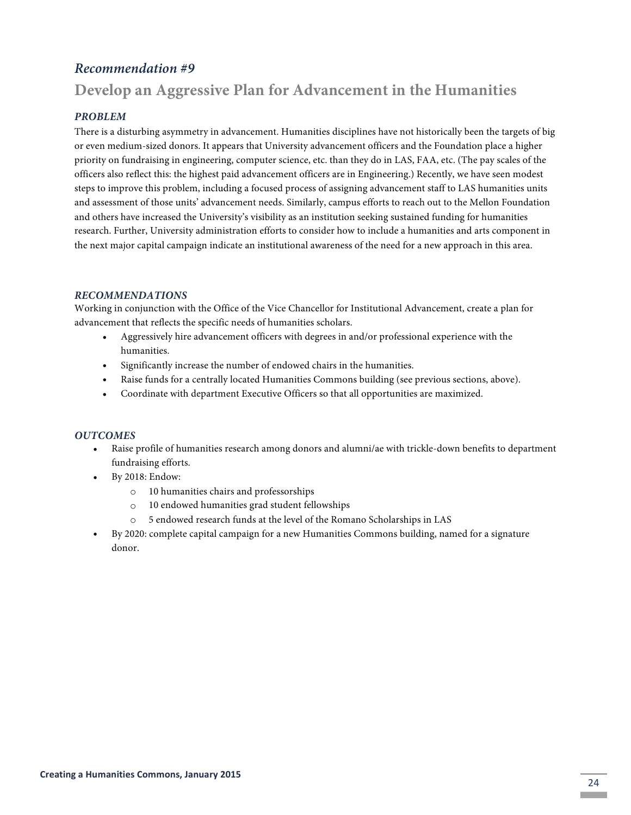# *Recommendation #9*

# **Develop an Aggressive Plan for Advancement in the Humanities**

#### *PROBLEM*

There is a disturbing asymmetry in advancement. Humanities disciplines have not historically been the targets of big or even medium-sized donors. It appears that University advancement officers and the Foundation place a higher priority on fundraising in engineering, computer science, etc. than they do in LAS, FAA, etc. (The pay scales of the officers also reflect this: the highest paid advancement officers are in Engineering.) Recently, we have seen modest steps to improve this problem, including a focused process of assigning advancement staff to LAS humanities units and assessment of those units' advancement needs. Similarly, campus efforts to reach out to the Mellon Foundation and others have increased the University's visibility as an institution seeking sustained funding for humanities research. Further, University administration efforts to consider how to include a humanities and arts component in the next major capital campaign indicate an institutional awareness of the need for a new approach in this area.

#### *RECOMMENDATIONS*

Working in conjunction with the Office of the Vice Chancellor for Institutional Advancement, create a plan for advancement that reflects the specific needs of humanities scholars.

- Aggressively hire advancement officers with degrees in and/or professional experience with the humanities.
- Significantly increase the number of endowed chairs in the humanities.
- Raise funds for a centrally located Humanities Commons building (see previous sections, above).
- Coordinate with department Executive Officers so that all opportunities are maximized.

- Raise profile of humanities research among donors and alumni/ae with trickle-down benefits to department fundraising efforts.
- By 2018: Endow:
	- o 10 humanities chairs and professorships
	- o 10 endowed humanities grad student fellowships
	- o 5 endowed research funds at the level of the Romano Scholarships in LAS
- By 2020: complete capital campaign for a new Humanities Commons building, named for a signature donor.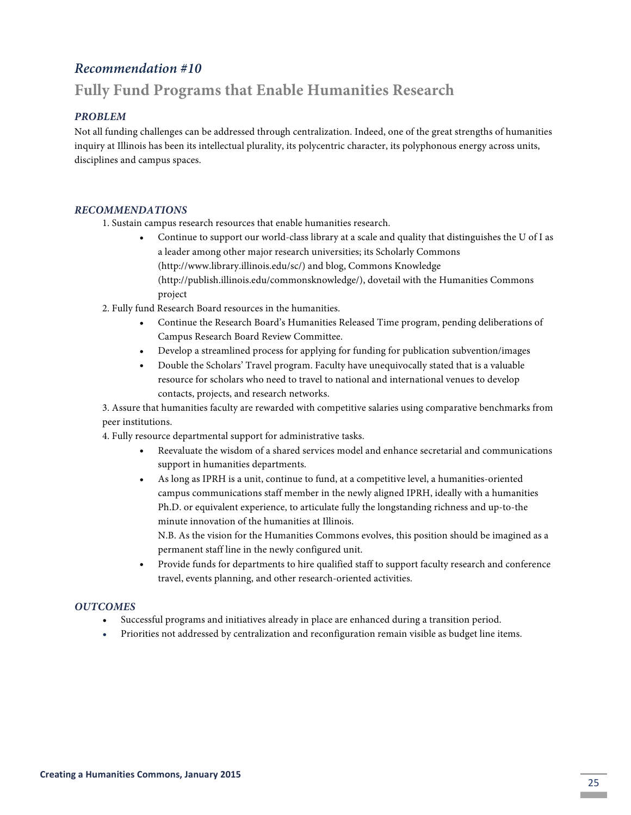# *Recommendation #10*

# **Fully Fund Programs that Enable Humanities Research**

#### *PROBLEM*

Not all funding challenges can be addressed through centralization. Indeed, one of the great strengths of humanities inquiry at Illinois has been its intellectual plurality, its polycentric character, its polyphonous energy across units, disciplines and campus spaces.

#### *RECOMMENDATIONS*

1. Sustain campus research resources that enable humanities research.

- Continue to support our world-class library at a scale and quality that distinguishes the U of I as a leader among other major research universities; its Scholarly Commons (http://www.library.illinois.edu/sc/) and blog, Commons Knowledge (http://publish.illinois.edu/commonsknowledge/), dovetail with the Humanities Commons project
- 2. Fully fund Research Board resources in the humanities.
	- Continue the Research Board's Humanities Released Time program, pending deliberations of Campus Research Board Review Committee.
	- Develop a streamlined process for applying for funding for publication subvention/images
	- Double the Scholars' Travel program. Faculty have unequivocally stated that is a valuable resource for scholars who need to travel to national and international venues to develop contacts, projects, and research networks.

3. Assure that humanities faculty are rewarded with competitive salaries using comparative benchmarks from peer institutions.

4. Fully resource departmental support for administrative tasks.

- Reevaluate the wisdom of a shared services model and enhance secretarial and communications support in humanities departments.
- As long as IPRH is a unit, continue to fund, at a competitive level, a humanities-oriented campus communications staff member in the newly aligned IPRH, ideally with a humanities Ph.D. or equivalent experience, to articulate fully the longstanding richness and up-to-the minute innovation of the humanities at Illinois.

N.B. As the vision for the Humanities Commons evolves, this position should be imagined as a permanent staff line in the newly configured unit.

• Provide funds for departments to hire qualified staff to support faculty research and conference travel, events planning, and other research-oriented activities.

- Successful programs and initiatives already in place are enhanced during a transition period.
- Priorities not addressed by centralization and reconfiguration remain visible as budget line items.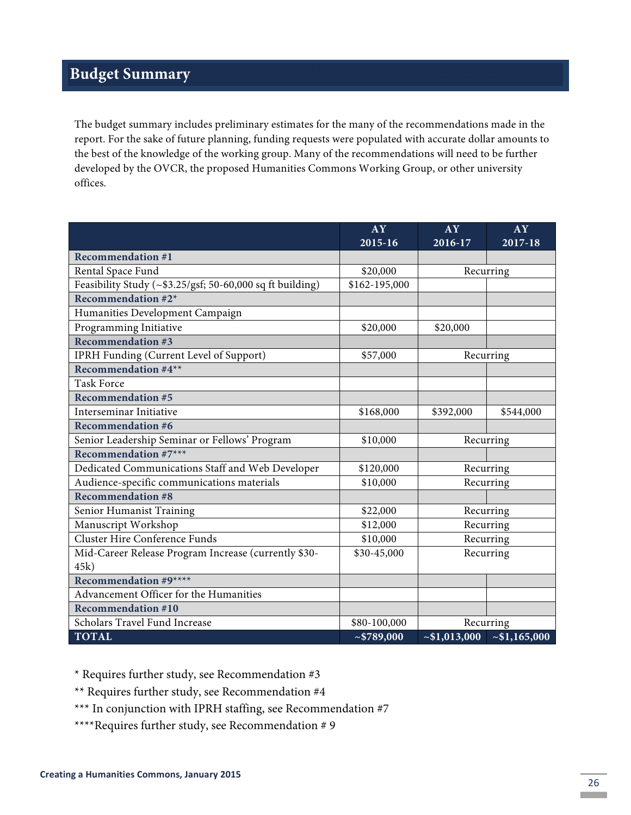# **Budget Summary**

The budget summary includes preliminary estimates for the many of the recommendations made in the report. For the sake of future planning, funding requests were populated with accurate dollar amounts to the best of the knowledge of the working group. Many of the recommendations will need to be further developed by the OVCR, the proposed Humanities Commons Working Group, or other university offices.

|                                                                  | AY                      | AY         | AY         |
|------------------------------------------------------------------|-------------------------|------------|------------|
|                                                                  | 2015-16                 | 2016-17    | 2017-18    |
| <b>Recommendation #1</b>                                         |                         |            |            |
| Rental Space Fund                                                | \$20,000                | Recurring  |            |
| Feasibility Study ( $\sim$ \$3.25/gsf; 50-60,000 sq ft building) | \$162-195,000           |            |            |
| Recommendation #2*                                               |                         |            |            |
| Humanities Development Campaign                                  |                         |            |            |
| Programming Initiative                                           | \$20,000                | \$20,000   |            |
| <b>Recommendation #3</b>                                         |                         |            |            |
| IPRH Funding (Current Level of Support)                          | \$57,000                | Recurring  |            |
| Recommendation #4**                                              |                         |            |            |
| <b>Task Force</b>                                                |                         |            |            |
| <b>Recommendation #5</b>                                         |                         |            |            |
| Interseminar Initiative                                          | \$168,000               | \$392,000  | \$544,000  |
| <b>Recommendation #6</b>                                         |                         |            |            |
| Senior Leadership Seminar or Fellows' Program                    | \$10,000                |            | Recurring  |
| Recommendation $#7***$                                           |                         |            |            |
| Dedicated Communications Staff and Web Developer                 | \$120,000               |            | Recurring  |
| Audience-specific communications materials                       | \$10,000                | Recurring  |            |
| <b>Recommendation #8</b>                                         |                         |            |            |
| Senior Humanist Training                                         | \$22,000                |            | Recurring  |
| Manuscript Workshop                                              | \$12,000                | Recurring  |            |
| <b>Cluster Hire Conference Funds</b>                             | \$10,000                | Recurring  |            |
| Mid-Career Release Program Increase (currently \$30-             | \$30-45,000             | Recurring  |            |
| 45k)                                                             |                         |            |            |
| Recommendation #9****                                            |                         |            |            |
| Advancement Officer for the Humanities                           |                         |            |            |
| <b>Recommendation #10</b>                                        |                         |            |            |
| Scholars Travel Fund Increase                                    | \$80-100,000            | Recurring  |            |
| <b>TOTAL</b>                                                     | $\overline{-\$789,000}$ | ~1,013,000 | ~1,165,000 |

\* Requires further study, see Recommendation #3

\*\* Requires further study, see Recommendation #4

\*\*\* In conjunction with IPRH staffing, see Recommendation #7

\*\*\*\*Requires further study, see Recommendation # 9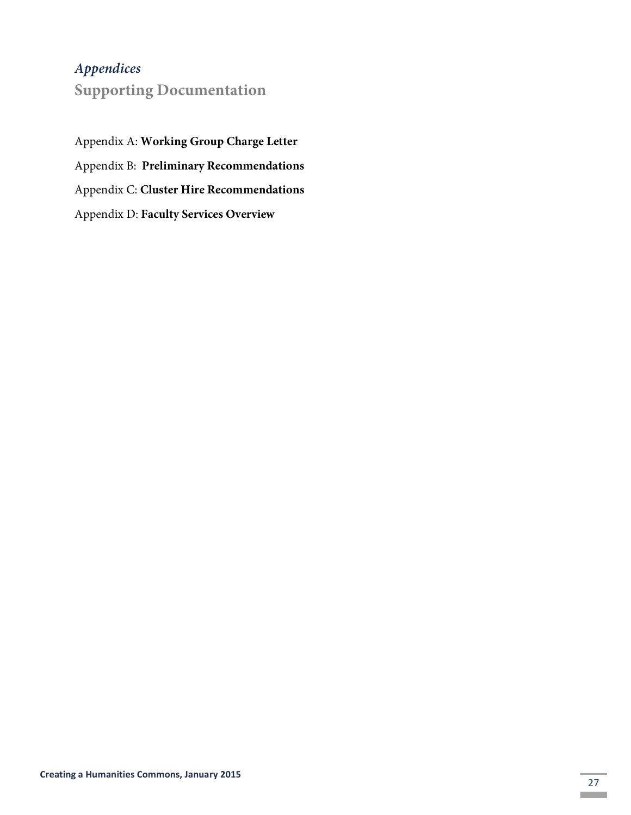# *Appendices*

**Supporting Documentation**

Appendix A: **Working Group Charge Letter** Appendix B: **Preliminary Recommendations** Appendix C: **Cluster Hire Recommendations** Appendix D: **Faculty Services Overview**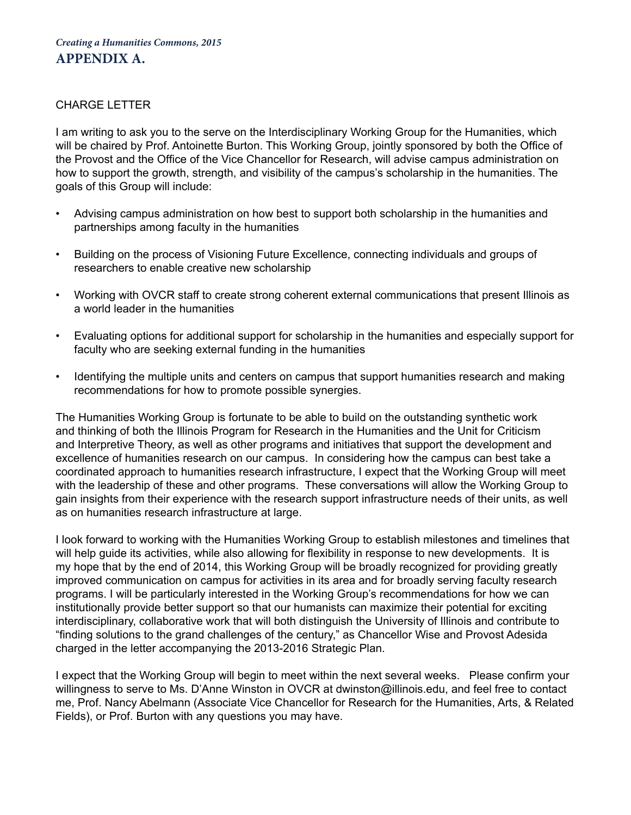### CHARGE LETTER

I am writing to ask you to the serve on the Interdisciplinary Working Group for the Humanities, which will be chaired by Prof. Antoinette Burton. This Working Group, jointly sponsored by both the Office of the Provost and the Office of the Vice Chancellor for Research, will advise campus administration on how to support the growth, strength, and visibility of the campus's scholarship in the humanities. The goals of this Group will include:

- Advising campus administration on how best to support both scholarship in the humanities and partnerships among faculty in the humanities
- Building on the process of Visioning Future Excellence, connecting individuals and groups of researchers to enable creative new scholarship
- Working with OVCR staff to create strong coherent external communications that present Illinois as a world leader in the humanities
- Evaluating options for additional support for scholarship in the humanities and especially support for faculty who are seeking external funding in the humanities
- Identifying the multiple units and centers on campus that support humanities research and making recommendations for how to promote possible synergies.

The Humanities Working Group is fortunate to be able to build on the outstanding synthetic work and thinking of both the Illinois Program for Research in the Humanities and the Unit for Criticism and Interpretive Theory, as well as other programs and initiatives that support the development and excellence of humanities research on our campus. In considering how the campus can best take a coordinated approach to humanities research infrastructure, I expect that the Working Group will meet with the leadership of these and other programs. These conversations will allow the Working Group to gain insights from their experience with the research support infrastructure needs of their units, as well as on humanities research infrastructure at large.

I look forward to working with the Humanities Working Group to establish milestones and timelines that will help guide its activities, while also allowing for flexibility in response to new developments. It is my hope that by the end of 2014, this Working Group will be broadly recognized for providing greatly improved communication on campus for activities in its area and for broadly serving faculty research programs. I will be particularly interested in the Working Group's recommendations for how we can institutionally provide better support so that our humanists can maximize their potential for exciting interdisciplinary, collaborative work that will both distinguish the University of Illinois and contribute to "finding solutions to the grand challenges of the century," as Chancellor Wise and Provost Adesida charged in the letter accompanying the 2013-2016 Strategic Plan.

I expect that the Working Group will begin to meet within the next several weeks. Please confirm your willingness to serve to Ms. D'Anne Winston in OVCR at dwinston@illinois.edu, and feel free to contact me, Prof. Nancy Abelmann (Associate Vice Chancellor for Research for the Humanities, Arts, & Related Fields), or Prof. Burton with any questions you may have.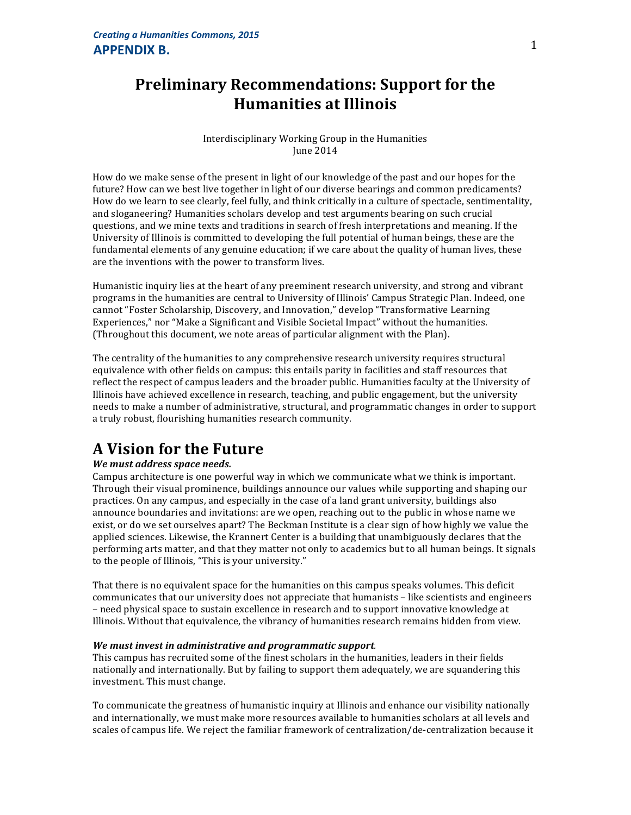# **Preliminary Recommendations: Support for the Humanities at Illinois**

Interdisciplinary Working Group in the Humanities June 2014

How do we make sense of the present in light of our knowledge of the past and our hopes for the future? How can we best live together in light of our diverse bearings and common predicaments? How do we learn to see clearly, feel fully, and think critically in a culture of spectacle, sentimentality, and sloganeering? Humanities scholars develop and test arguments bearing on such crucial questions, and we mine texts and traditions in search of fresh interpretations and meaning. If the University of Illinois is committed to developing the full potential of human beings, these are the fundamental elements of any genuine education; if we care about the quality of human lives, these are the inventions with the power to transform lives.

Humanistic inquiry lies at the heart of any preeminent research university, and strong and vibrant programs in the humanities are central to University of Illinois' Campus Strategic Plan. Indeed, one cannot "Foster Scholarship, Discovery, and Innovation," develop "Transformative Learning Experiences," nor "Make a Significant and Visible Societal Impact" without the humanities. (Throughout this document, we note areas of particular alignment with the Plan).

The centrality of the humanities to any comprehensive research university requires structural equivalence with other fields on campus: this entails parity in facilities and staff resources that reflect the respect of campus leaders and the broader public. Humanities faculty at the University of Illinois have achieved excellence in research, teaching, and public engagement, but the university needs to make a number of administrative, structural, and programmatic changes in order to support a truly robust, flourishing humanities research community.

# **A Vision for the Future**

#### *We must address space needs.*

Campus architecture is one powerful way in which we communicate what we think is important. Through their visual prominence, buildings announce our values while supporting and shaping our practices. On any campus, and especially in the case of a land grant university, buildings also announce boundaries and invitations: are we open, reaching out to the public in whose name we exist, or do we set ourselves apart? The Beckman Institute is a clear sign of how highly we value the applied sciences. Likewise, the Krannert Center is a building that unambiguously declares that the performing arts matter, and that they matter not only to academics but to all human beings. It signals to the people of Illinois, "This is your university."

That there is no equivalent space for the humanities on this campus speaks volumes. This deficit communicates that our university does not appreciate that humanists – like scientists and engineers – need physical space to sustain excellence in research and to support innovative knowledge at Illinois. Without that equivalence, the vibrancy of humanities research remains hidden from view.

#### We must invest in administrative and programmatic support.

This campus has recruited some of the finest scholars in the humanities, leaders in their fields nationally and internationally. But by failing to support them adequately, we are squandering this investment. This must change.

To communicate the greatness of humanistic inquiry at Illinois and enhance our visibility nationally and internationally, we must make more resources available to humanities scholars at all levels and scales of campus life. We reject the familiar framework of centralization/de-centralization because it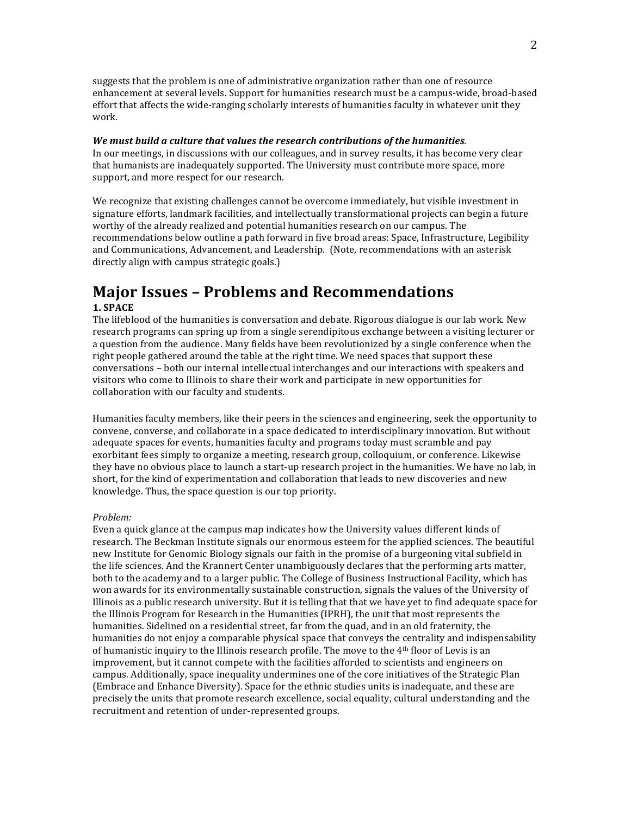suggests that the problem is one of administrative organization rather than one of resource enhancement at several levels. Support for humanities research must be a campus-wide, broad-based effort that affects the wide-ranging scholarly interests of humanities faculty in whatever unit they work.

#### We must build a culture that values the research contributions of the humanities.

In our meetings, in discussions with our colleagues, and in survey results, it has become very clear that humanists are inadequately supported. The University must contribute more space, more support, and more respect for our research.

We recognize that existing challenges cannot be overcome immediately, but visible investment in signature efforts, landmark facilities, and intellectually transformational projects can begin a future worthy of the already realized and potential humanities research on our campus. The recommendations below outline a path forward in five broad areas: Space, Infrastructure, Legibility and Communications, Advancement, and Leadership. (Note, recommendations with an asterisk directly align with campus strategic goals.)

### **Major Issues - Problems and Recommendations 1. SPACE**

The lifeblood of the humanities is conversation and debate. Rigorous dialogue is our lab work. New research programs can spring up from a single serendipitous exchange between a visiting lecturer or a question from the audience. Many fields have been revolutionized by a single conference when the right people gathered around the table at the right time. We need spaces that support these conversations - both our internal intellectual interchanges and our interactions with speakers and visitors who come to Illinois to share their work and participate in new opportunities for collaboration with our faculty and students.

Humanities faculty members, like their peers in the sciences and engineering, seek the opportunity to convene, converse, and collaborate in a space dedicated to interdisciplinary innovation. But without adequate spaces for events, humanities faculty and programs today must scramble and pay exorbitant fees simply to organize a meeting, research group, colloquium, or conference. Likewise they have no obvious place to launch a start-up research project in the humanities. We have no lab, in short, for the kind of experimentation and collaboration that leads to new discoveries and new knowledge. Thus, the space question is our top priority.

#### *Problem:*

Even a quick glance at the campus map indicates how the University values different kinds of research. The Beckman Institute signals our enormous esteem for the applied sciences. The beautiful new Institute for Genomic Biology signals our faith in the promise of a burgeoning vital subfield in the life sciences. And the Krannert Center unambiguously declares that the performing arts matter, both to the academy and to a larger public. The College of Business Instructional Facility, which has won awards for its environmentally sustainable construction, signals the values of the University of Illinois as a public research university. But it is telling that that we have yet to find adequate space for the Illinois Program for Research in the Humanities (IPRH), the unit that most represents the humanities. Sidelined on a residential street, far from the quad, and in an old fraternity, the humanities do not enjoy a comparable physical space that conveys the centrality and indispensability of humanistic inquiry to the Illinois research profile. The move to the  $4<sup>th</sup>$  floor of Levis is an improvement, but it cannot compete with the facilities afforded to scientists and engineers on campus. Additionally, space inequality undermines one of the core initiatives of the Strategic Plan (Embrace and Enhance Diversity). Space for the ethnic studies units is inadequate, and these are precisely the units that promote research excellence, social equality, cultural understanding and the recruitment and retention of under-represented groups.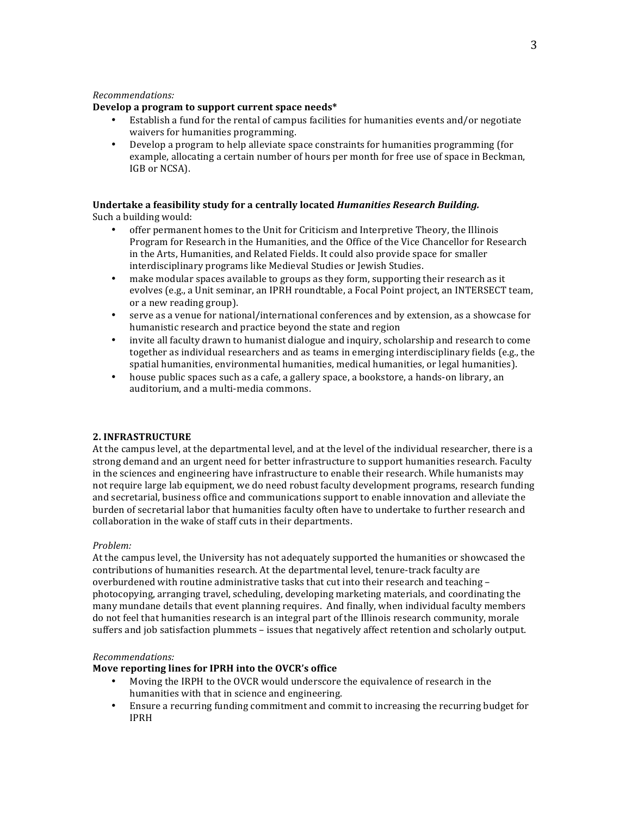#### *Recommendations:*

#### Develop a program to support current space needs\*

- Establish a fund for the rental of campus facilities for humanities events and/or negotiate waivers for humanities programming.
- Develop a program to help alleviate space constraints for humanities programming (for example, allocating a certain number of hours per month for free use of space in Beckman, IGB or NCSA).

# Undertake a feasibility study for a centrally located *Humanities Research Building.*

Such a building would:

- offer permanent homes to the Unit for Criticism and Interpretive Theory, the Illinois Program for Research in the Humanities, and the Office of the Vice Chancellor for Research in the Arts, Humanities, and Related Fields. It could also provide space for smaller interdisciplinary programs like Medieval Studies or Jewish Studies.
- make modular spaces available to groups as they form, supporting their research as it evolves (e.g., a Unit seminar, an IPRH roundtable, a Focal Point project, an INTERSECT team, or a new reading group).
- serve as a venue for national/international conferences and by extension, as a showcase for humanistic research and practice beyond the state and region
- invite all faculty drawn to humanist dialogue and inquiry, scholarship and research to come together as individual researchers and as teams in emerging interdisciplinary fields (e.g., the spatial humanities, environmental humanities, medical humanities, or legal humanities).
- house public spaces such as a cafe, a gallery space, a bookstore, a hands-on library, an auditorium, and a multi-media commons.

#### **2. INFRASTRUCTURE**

At the campus level, at the departmental level, and at the level of the individual researcher, there is a strong demand and an urgent need for better infrastructure to support humanities research. Faculty in the sciences and engineering have infrastructure to enable their research. While humanists may not require large lab equipment, we do need robust faculty development programs, research funding and secretarial, business office and communications support to enable innovation and alleviate the burden of secretarial labor that humanities faculty often have to undertake to further research and collaboration in the wake of staff cuts in their departments.

#### *Problem:*

At the campus level, the University has not adequately supported the humanities or showcased the contributions of humanities research. At the departmental level, tenure-track faculty are overburdened with routine administrative tasks that cut into their research and teaching photocopying, arranging travel, scheduling, developing marketing materials, and coordinating the many mundane details that event planning requires. And finally, when individual faculty members do not feel that humanities research is an integral part of the Illinois research community, morale suffers and job satisfaction plummets - issues that negatively affect retention and scholarly output.

#### *Recommendations:*

#### Move reporting lines for IPRH into the OVCR's office

- Moving the IRPH to the OVCR would underscore the equivalence of research in the humanities with that in science and engineering.
- Ensure a recurring funding commitment and commit to increasing the recurring budget for IPRH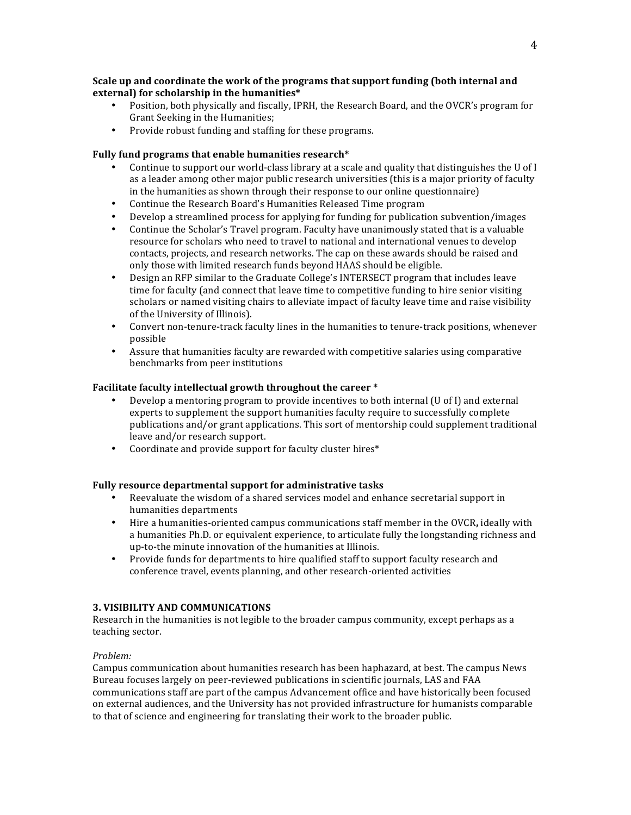#### **Scale up and coordinate the work of the programs that support funding (both internal and** external) for scholarship in the humanities\*

- Position, both physically and fiscally, IPRH, the Research Board, and the OVCR's program for Grant Seeking in the Humanities;
- Provide robust funding and staffing for these programs.

#### Fully fund programs that enable humanities research<sup>\*</sup>

- Continue to support our world-class library at a scale and quality that distinguishes the U of I as a leader among other major public research universities (this is a major priority of faculty in the humanities as shown through their response to our online questionnaire)
- Continue the Research Board's Humanities Released Time program
- Develop a streamlined process for applying for funding for publication subvention/images
- Continue the Scholar's Travel program. Faculty have unanimously stated that is a valuable resource for scholars who need to travel to national and international venues to develop contacts, projects, and research networks. The cap on these awards should be raised and only those with limited research funds beyond HAAS should be eligible.
- Design an RFP similar to the Graduate College's INTERSECT program that includes leave time for faculty (and connect that leave time to competitive funding to hire senior visiting scholars or named visiting chairs to alleviate impact of faculty leave time and raise visibility of the University of Illinois).
- Convert non-tenure-track faculty lines in the humanities to tenure-track positions, whenever possible
- Assure that humanities faculty are rewarded with competitive salaries using comparative benchmarks from peer institutions

#### **Facilitate faculty intellectual growth throughout the career** \*

- Develop a mentoring program to provide incentives to both internal  $(U \circ I)$  and external experts to supplement the support humanities faculty require to successfully complete publications and/or grant applications. This sort of mentorship could supplement traditional leave and/or research support.
- Coordinate and provide support for faculty cluster hires\*

#### Fully resource departmental support for administrative tasks

- Reevaluate the wisdom of a shared services model and enhance secretarial support in humanities departments
- Hire a humanities-oriented campus communications staff member in the OVCR, ideally with a humanities Ph.D. or equivalent experience, to articulate fully the longstanding richness and up-to-the minute innovation of the humanities at Illinois.
- Provide funds for departments to hire qualified staff to support faculty research and conference travel, events planning, and other research-oriented activities

#### **3. VISIBILITY AND COMMUNICATIONS**

Research in the humanities is not legible to the broader campus community, except perhaps as a teaching sector.

#### *Problem:*

Campus communication about humanities research has been haphazard, at best. The campus News Bureau focuses largely on peer-reviewed publications in scientific journals, LAS and FAA communications staff are part of the campus Advancement office and have historically been focused on external audiences, and the University has not provided infrastructure for humanists comparable to that of science and engineering for translating their work to the broader public.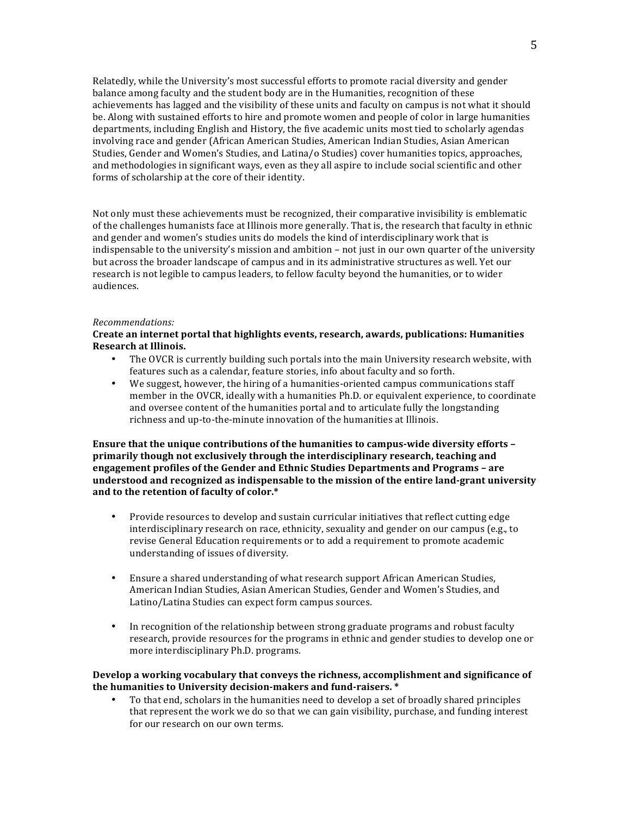Relatedly, while the University's most successful efforts to promote racial diversity and gender balance among faculty and the student body are in the Humanities, recognition of these achievements has lagged and the visibility of these units and faculty on campus is not what it should be. Along with sustained efforts to hire and promote women and people of color in large humanities departments, including English and History, the five academic units most tied to scholarly agendas involving race and gender (African American Studies, American Indian Studies, Asian American Studies, Gender and Women's Studies, and Latina/o Studies) cover humanities topics, approaches, and methodologies in significant ways, even as they all aspire to include social scientific and other forms of scholarship at the core of their identity.

Not only must these achievements must be recognized, their comparative invisibility is emblematic of the challenges humanists face at Illinois more generally. That is, the research that faculty in ethnic and gender and women's studies units do models the kind of interdisciplinary work that is indispensable to the university's mission and ambition  $-$  not just in our own quarter of the university but across the broader landscape of campus and in its administrative structures as well. Yet our research is not legible to campus leaders, to fellow faculty beyond the humanities, or to wider audiences.

#### *Recommendations:*

#### Create an internet portal that highlights events, research, awards, publications: Humanities **Research at Illinois.**

- The OVCR is currently building such portals into the main University research website, with features such as a calendar, feature stories, info about faculty and so forth.
- We suggest, however, the hiring of a humanities-oriented campus communications staff member in the OVCR, ideally with a humanities Ph.D. or equivalent experience, to coordinate and oversee content of the humanities portal and to articulate fully the longstanding richness and up-to-the-minute innovation of the humanities at Illinois.

#### **Ensure that the unique contributions of the humanities to campus-wide diversity efforts** primarily though not exclusively through the interdisciplinary research, teaching and **engagement profiles of the Gender and Ethnic Studies Departments and Programs - are** understood and recognized as indispensable to the mission of the entire land-grant university and to the retention of faculty of color.\*

- Provide resources to develop and sustain curricular initiatives that reflect cutting edge interdisciplinary research on race, ethnicity, sexuality and gender on our campus (e.g., to revise General Education requirements or to add a requirement to promote academic understanding of issues of diversity.
- Ensure a shared understanding of what research support African American Studies, American Indian Studies, Asian American Studies, Gender and Women's Studies, and Latino/Latina Studies can expect form campus sources.
- In recognition of the relationship between strong graduate programs and robust faculty research, provide resources for the programs in ethnic and gender studies to develop one or more interdisciplinary Ph.D. programs.

#### Develop a working vocabulary that conveys the richness, accomplishment and significance of the humanities to University decision-makers and fund-raisers. \*

• To that end, scholars in the humanities need to develop a set of broadly shared principles that represent the work we do so that we can gain visibility, purchase, and funding interest for our research on our own terms.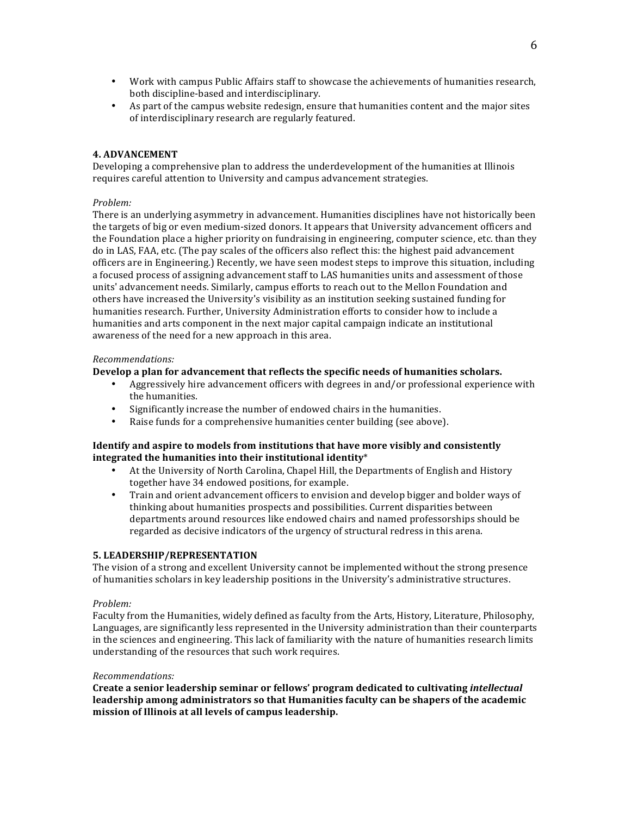- Work with campus Public Affairs staff to showcase the achievements of humanities research, both discipline-based and interdisciplinary.
- As part of the campus website redesign, ensure that humanities content and the major sites of interdisciplinary research are regularly featured.

#### **4. ADVANCEMENT**

Developing a comprehensive plan to address the underdevelopment of the humanities at Illinois requires careful attention to University and campus advancement strategies.

#### *Problem:*

There is an underlying asymmetry in advancement. Humanities disciplines have not historically been the targets of big or even medium-sized donors. It appears that University advancement officers and the Foundation place a higher priority on fundraising in engineering, computer science, etc. than they do in LAS, FAA, etc. (The pay scales of the officers also reflect this: the highest paid advancement officers are in Engineering.) Recently, we have seen modest steps to improve this situation, including a focused process of assigning advancement staff to LAS humanities units and assessment of those units' advancement needs. Similarly, campus efforts to reach out to the Mellon Foundation and others have increased the University's visibility as an institution seeking sustained funding for humanities research. Further, University Administration efforts to consider how to include a humanities and arts component in the next major capital campaign indicate an institutional awareness of the need for a new approach in this area.

#### *Recommendations:*

#### **Develop a plan for advancement that reflects the specific needs of humanities scholars.**

- Aggressively hire advancement officers with degrees in and/or professional experience with the humanities.
- Significantly increase the number of endowed chairs in the humanities.
- Raise funds for a comprehensive humanities center building (see above).

#### **Identify** and aspire to models from institutions that have more visibly and consistently integrated the humanities into their institutional identity<sup>\*</sup>

- At the University of North Carolina, Chapel Hill, the Departments of English and History together have 34 endowed positions, for example.
- Train and orient advancement officers to envision and develop bigger and bolder ways of thinking about humanities prospects and possibilities. Current disparities between departments around resources like endowed chairs and named professorships should be regarded as decisive indicators of the urgency of structural redress in this arena.

#### **5. LEADERSHIP/REPRESENTATION**

The vision of a strong and excellent University cannot be implemented without the strong presence of humanities scholars in key leadership positions in the University's administrative structures.

#### *Problem:*

Faculty from the Humanities, widely defined as faculty from the Arts, History, Literature, Philosophy, Languages, are significantly less represented in the University administration than their counterparts in the sciences and engineering. This lack of familiarity with the nature of humanities research limits understanding of the resources that such work requires.

#### *Recommendations:*

Create a senior leadership seminar or fellows' program dedicated to cultivating *intellectual* leadership among administrators so that Humanities faculty can be shapers of the academic mission of Illinois at all levels of campus leadership.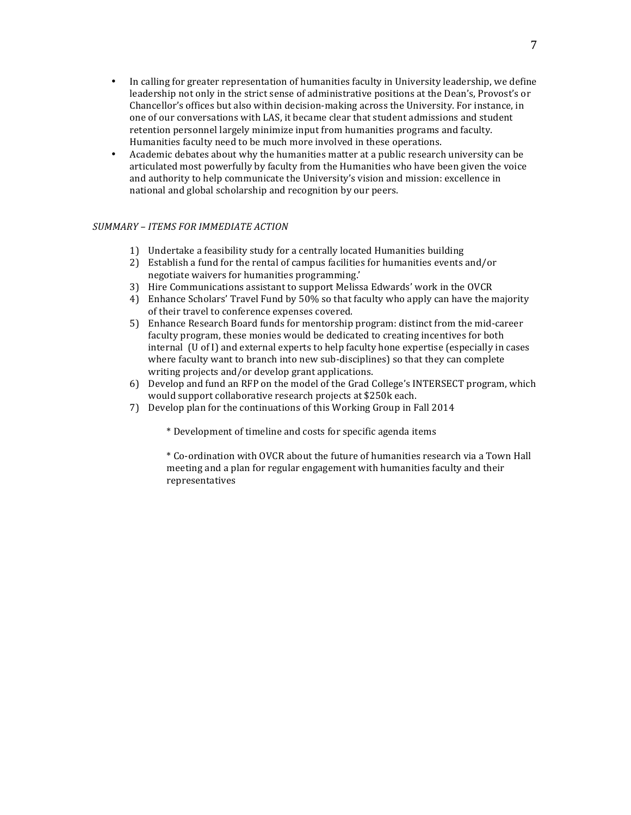- In calling for greater representation of humanities faculty in University leadership, we define leadership not only in the strict sense of administrative positions at the Dean's, Provost's or Chancellor's offices but also within decision-making across the University. For instance, in one of our conversations with LAS, it became clear that student admissions and student retention personnel largely minimize input from humanities programs and faculty. Humanities faculty need to be much more involved in these operations.
- Academic debates about why the humanities matter at a public research university can be articulated most powerfully by faculty from the Humanities who have been given the voice and authority to help communicate the University's vision and mission: excellence in national and global scholarship and recognition by our peers.

#### *SUMMARY – ITEMS FOR IMMEDIATE ACTION*

- 1) Undertake a feasibility study for a centrally located Humanities building
- 2) Establish a fund for the rental of campus facilities for humanities events and/or negotiate waivers for humanities programming.'
- 3) Hire Communications assistant to support Melissa Edwards' work in the OVCR
- 4) Enhance Scholars' Travel Fund by 50% so that faculty who apply can have the majority of their travel to conference expenses covered.
- 5) Enhance Research Board funds for mentorship program: distinct from the mid-career faculty program, these monies would be dedicated to creating incentives for both  $\int$  internal  $\int$  (U of I) and external experts to help faculty hone expertise (especially in cases where faculty want to branch into new sub-disciplines) so that they can complete writing projects and/or develop grant applications.
- 6) Develop and fund an RFP on the model of the Grad College's INTERSECT program, which would support collaborative research projects at \$250k each.
- 7) Develop plan for the continuations of this Working Group in Fall 2014

\* Development of timeline and costs for specific agenda items

\* Co-ordination with OVCR about the future of humanities research via a Town Hall meeting and a plan for regular engagement with humanities faculty and their representatives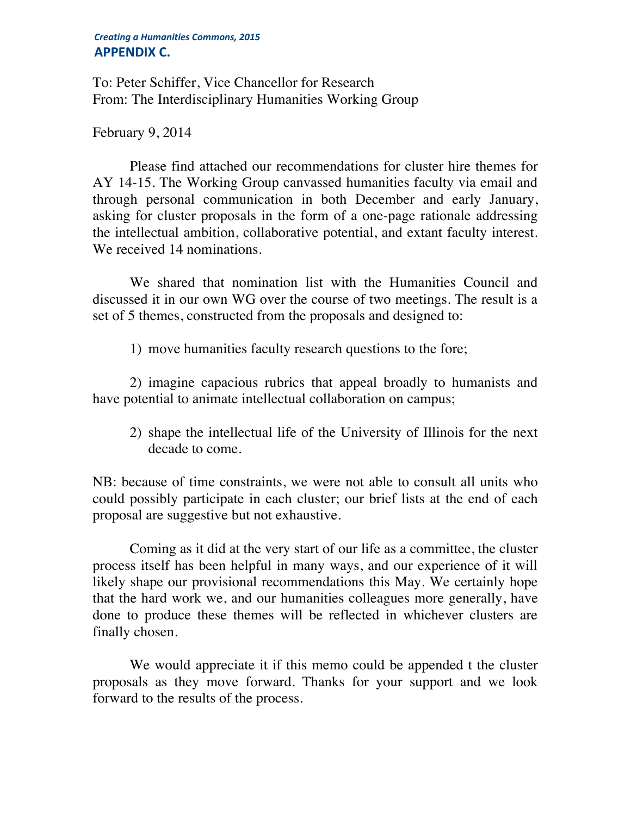### *Creating a Humanities Commons, 2015* **APPENDIX C.**

To: Peter Schiffer, Vice Chancellor for Research From: The Interdisciplinary Humanities Working Group

# February 9, 2014

Please find attached our recommendations for cluster hire themes for AY 14-15. The Working Group canvassed humanities faculty via email and through personal communication in both December and early January, asking for cluster proposals in the form of a one-page rationale addressing the intellectual ambition, collaborative potential, and extant faculty interest. We received 14 nominations.

We shared that nomination list with the Humanities Council and discussed it in our own WG over the course of two meetings. The result is a set of 5 themes, constructed from the proposals and designed to:

1) move humanities faculty research questions to the fore;

2) imagine capacious rubrics that appeal broadly to humanists and have potential to animate intellectual collaboration on campus;

2) shape the intellectual life of the University of Illinois for the next decade to come.

NB: because of time constraints, we were not able to consult all units who could possibly participate in each cluster; our brief lists at the end of each proposal are suggestive but not exhaustive.

Coming as it did at the very start of our life as a committee, the cluster process itself has been helpful in many ways, and our experience of it will likely shape our provisional recommendations this May. We certainly hope that the hard work we, and our humanities colleagues more generally, have done to produce these themes will be reflected in whichever clusters are finally chosen.

We would appreciate it if this memo could be appended t the cluster proposals as they move forward. Thanks for your support and we look forward to the results of the process.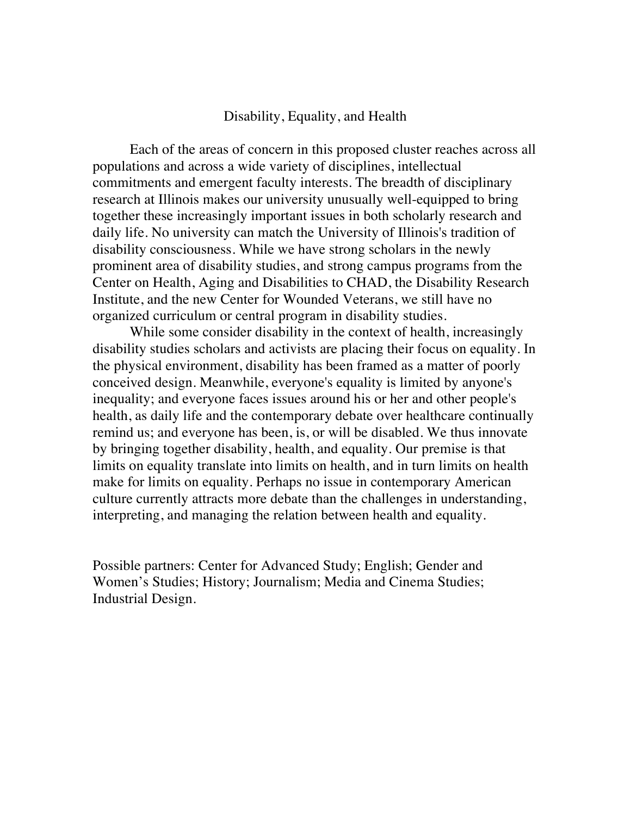### Disability, Equality, and Health

Each of the areas of concern in this proposed cluster reaches across all populations and across a wide variety of disciplines, intellectual commitments and emergent faculty interests. The breadth of disciplinary research at Illinois makes our university unusually well-equipped to bring together these increasingly important issues in both scholarly research and daily life. No university can match the University of Illinois's tradition of disability consciousness. While we have strong scholars in the newly prominent area of disability studies, and strong campus programs from the Center on Health, Aging and Disabilities to CHAD, the Disability Research Institute, and the new Center for Wounded Veterans, we still have no organized curriculum or central program in disability studies.

While some consider disability in the context of health, increasingly disability studies scholars and activists are placing their focus on equality. In the physical environment, disability has been framed as a matter of poorly conceived design. Meanwhile, everyone's equality is limited by anyone's inequality; and everyone faces issues around his or her and other people's health, as daily life and the contemporary debate over healthcare continually remind us; and everyone has been, is, or will be disabled. We thus innovate by bringing together disability, health, and equality. Our premise is that limits on equality translate into limits on health, and in turn limits on health make for limits on equality. Perhaps no issue in contemporary American culture currently attracts more debate than the challenges in understanding, interpreting, and managing the relation between health and equality.

Possible partners: Center for Advanced Study; English; Gender and Women's Studies; History; Journalism; Media and Cinema Studies; Industrial Design.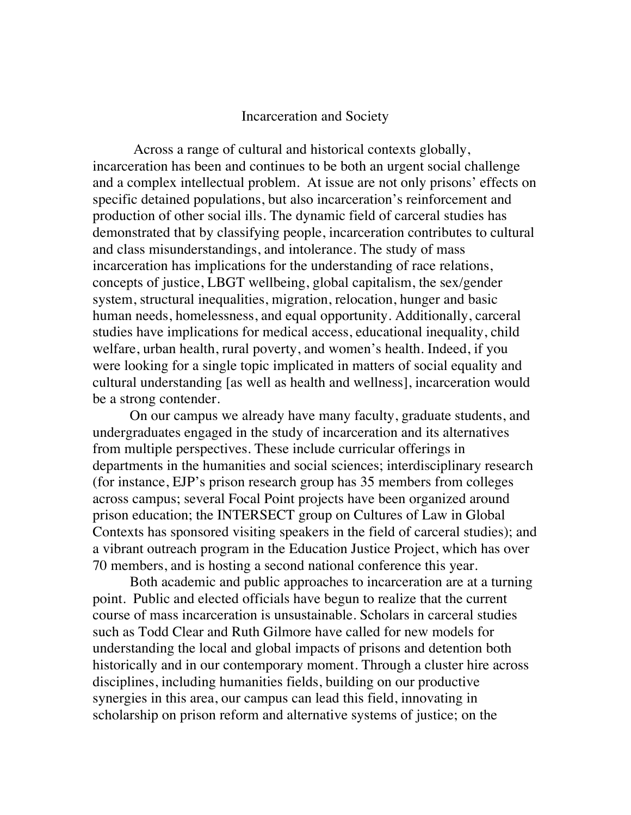### Incarceration and Society

Across a range of cultural and historical contexts globally, incarceration has been and continues to be both an urgent social challenge and a complex intellectual problem. At issue are not only prisons' effects on specific detained populations, but also incarceration's reinforcement and production of other social ills. The dynamic field of carceral studies has demonstrated that by classifying people, incarceration contributes to cultural and class misunderstandings, and intolerance. The study of mass incarceration has implications for the understanding of race relations, concepts of justice, LBGT wellbeing, global capitalism, the sex/gender system, structural inequalities, migration, relocation, hunger and basic human needs, homelessness, and equal opportunity. Additionally, carceral studies have implications for medical access, educational inequality, child welfare, urban health, rural poverty, and women's health. Indeed, if you were looking for a single topic implicated in matters of social equality and cultural understanding [as well as health and wellness], incarceration would be a strong contender.

On our campus we already have many faculty, graduate students, and undergraduates engaged in the study of incarceration and its alternatives from multiple perspectives. These include curricular offerings in departments in the humanities and social sciences; interdisciplinary research (for instance, EJP's prison research group has 35 members from colleges across campus; several Focal Point projects have been organized around prison education; the INTERSECT group on Cultures of Law in Global Contexts has sponsored visiting speakers in the field of carceral studies); and a vibrant outreach program in the Education Justice Project, which has over 70 members, and is hosting a second national conference this year.

Both academic and public approaches to incarceration are at a turning point. Public and elected officials have begun to realize that the current course of mass incarceration is unsustainable. Scholars in carceral studies such as Todd Clear and Ruth Gilmore have called for new models for understanding the local and global impacts of prisons and detention both historically and in our contemporary moment. Through a cluster hire across disciplines, including humanities fields, building on our productive synergies in this area, our campus can lead this field, innovating in scholarship on prison reform and alternative systems of justice; on the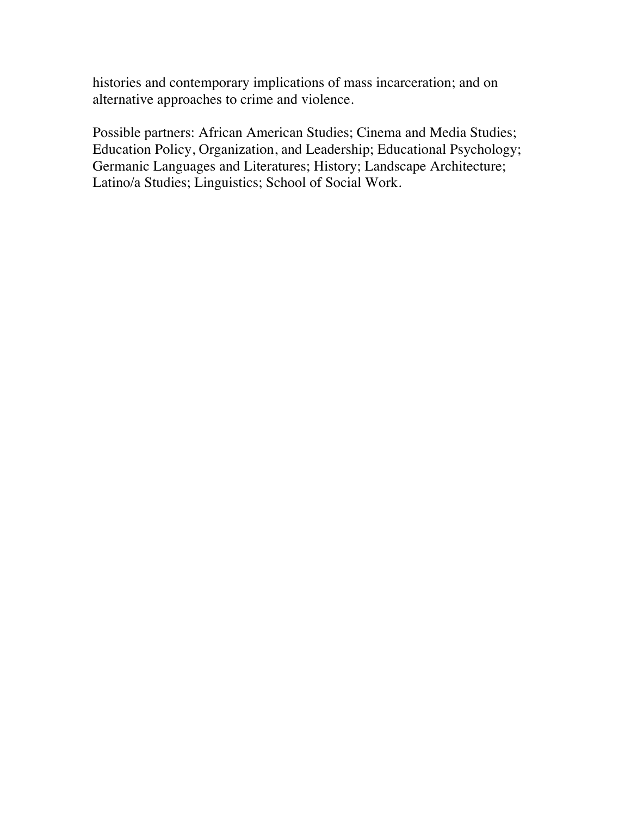histories and contemporary implications of mass incarceration; and on alternative approaches to crime and violence.

Possible partners: African American Studies; Cinema and Media Studies; Education Policy, Organization, and Leadership; Educational Psychology; Germanic Languages and Literatures; History; Landscape Architecture; Latino/a Studies; Linguistics; School of Social Work.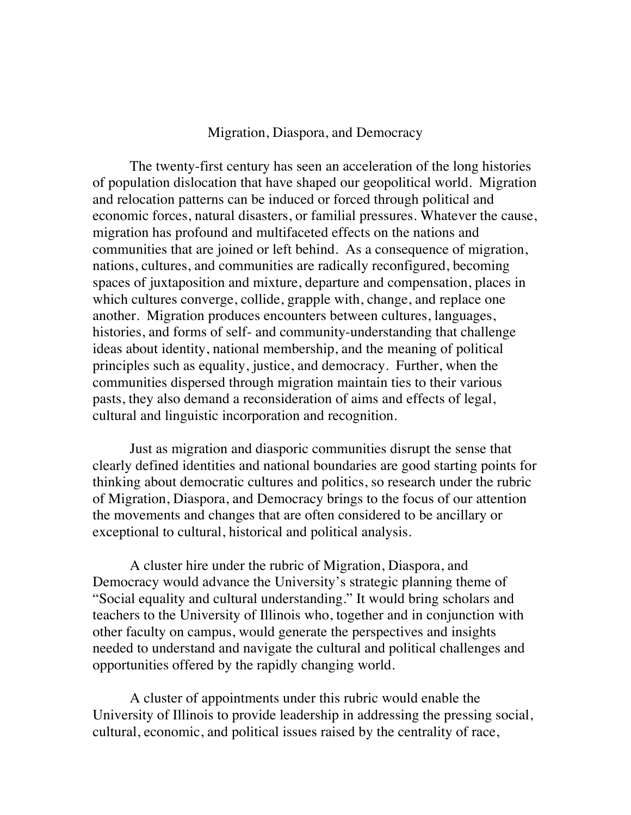### Migration, Diaspora, and Democracy

The twenty-first century has seen an acceleration of the long histories of population dislocation that have shaped our geopolitical world. Migration and relocation patterns can be induced or forced through political and economic forces, natural disasters, or familial pressures. Whatever the cause, migration has profound and multifaceted effects on the nations and communities that are joined or left behind. As a consequence of migration, nations, cultures, and communities are radically reconfigured, becoming spaces of juxtaposition and mixture, departure and compensation, places in which cultures converge, collide, grapple with, change, and replace one another. Migration produces encounters between cultures, languages, histories, and forms of self- and community-understanding that challenge ideas about identity, national membership, and the meaning of political principles such as equality, justice, and democracy. Further, when the communities dispersed through migration maintain ties to their various pasts, they also demand a reconsideration of aims and effects of legal, cultural and linguistic incorporation and recognition.

Just as migration and diasporic communities disrupt the sense that clearly defined identities and national boundaries are good starting points for thinking about democratic cultures and politics, so research under the rubric of Migration, Diaspora, and Democracy brings to the focus of our attention the movements and changes that are often considered to be ancillary or exceptional to cultural, historical and political analysis.

A cluster hire under the rubric of Migration, Diaspora, and Democracy would advance the University's strategic planning theme of "Social equality and cultural understanding." It would bring scholars and teachers to the University of Illinois who, together and in conjunction with other faculty on campus, would generate the perspectives and insights needed to understand and navigate the cultural and political challenges and opportunities offered by the rapidly changing world.

A cluster of appointments under this rubric would enable the University of Illinois to provide leadership in addressing the pressing social, cultural, economic, and political issues raised by the centrality of race,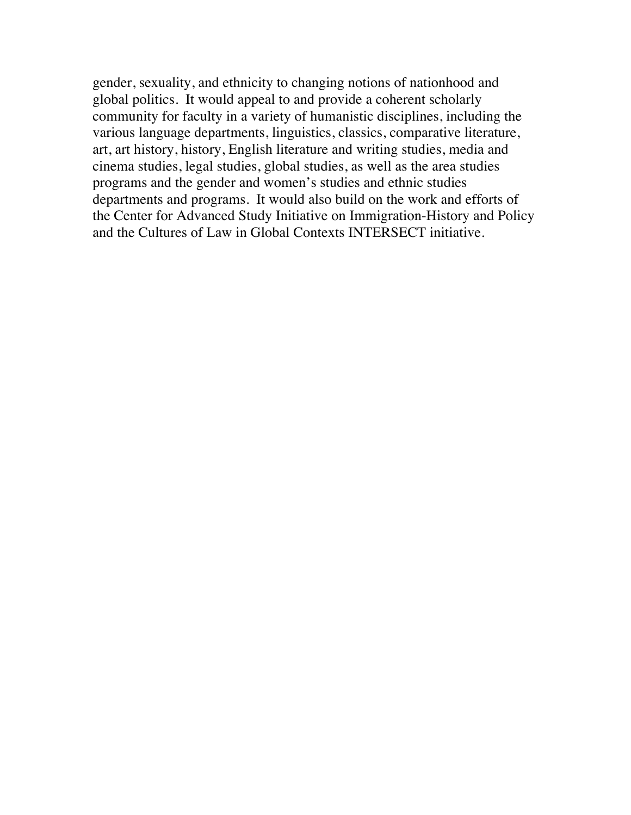gender, sexuality, and ethnicity to changing notions of nationhood and global politics. It would appeal to and provide a coherent scholarly community for faculty in a variety of humanistic disciplines, including the various language departments, linguistics, classics, comparative literature, art, art history, history, English literature and writing studies, media and cinema studies, legal studies, global studies, as well as the area studies programs and the gender and women's studies and ethnic studies departments and programs. It would also build on the work and efforts of the Center for Advanced Study Initiative on Immigration-History and Policy and the Cultures of Law in Global Contexts INTERSECT initiative.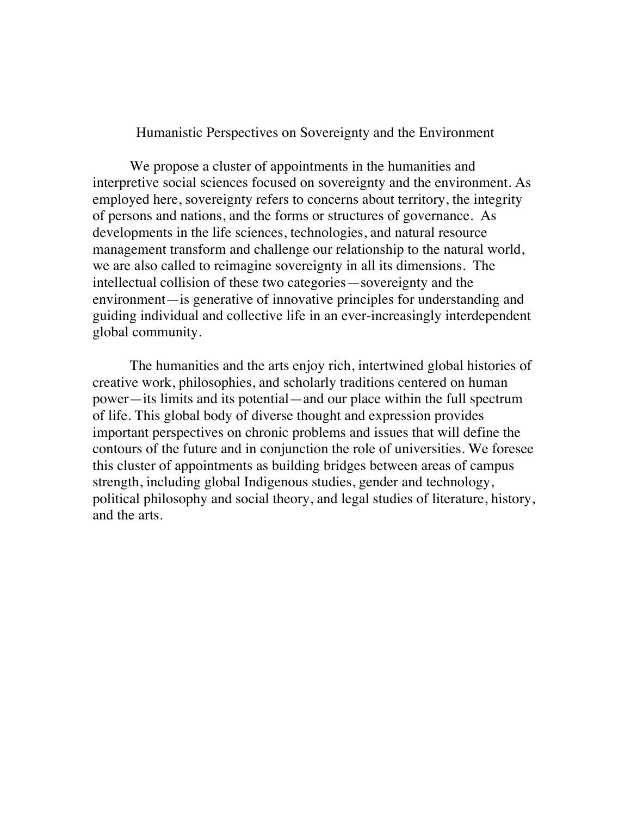### Humanistic Perspectives on Sovereignty and the Environment

We propose a cluster of appointments in the humanities and interpretive social sciences focused on sovereignty and the environment. As employed here, sovereignty refers to concerns about territory, the integrity of persons and nations, and the forms or structures of governance. As developments in the life sciences, technologies, and natural resource management transform and challenge our relationship to the natural world, we are also called to reimagine sovereignty in all its dimensions. The intellectual collision of these two categories—sovereignty and the environment—is generative of innovative principles for understanding and guiding individual and collective life in an ever-increasingly interdependent global community.

The humanities and the arts enjoy rich, intertwined global histories of creative work, philosophies, and scholarly traditions centered on human power—its limits and its potential—and our place within the full spectrum of life. This global body of diverse thought and expression provides important perspectives on chronic problems and issues that will define the contours of the future and in conjunction the role of universities. We foresee this cluster of appointments as building bridges between areas of campus strength, including global Indigenous studies, gender and technology, political philosophy and social theory, and legal studies of literature, history, and the arts.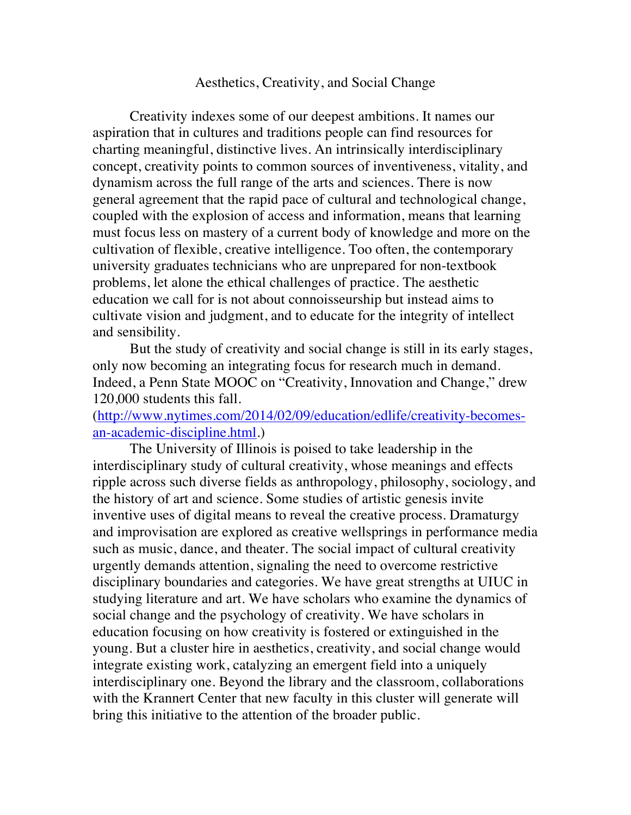### Aesthetics, Creativity, and Social Change

Creativity indexes some of our deepest ambitions. It names our aspiration that in cultures and traditions people can find resources for charting meaningful, distinctive lives. An intrinsically interdisciplinary concept, creativity points to common sources of inventiveness, vitality, and dynamism across the full range of the arts and sciences. There is now general agreement that the rapid pace of cultural and technological change, coupled with the explosion of access and information, means that learning must focus less on mastery of a current body of knowledge and more on the cultivation of flexible, creative intelligence. Too often, the contemporary university graduates technicians who are unprepared for non-textbook problems, let alone the ethical challenges of practice. The aesthetic education we call for is not about connoisseurship but instead aims to cultivate vision and judgment, and to educate for the integrity of intellect and sensibility.

But the study of creativity and social change is still in its early stages, only now becoming an integrating focus for research much in demand. Indeed, a Penn State MOOC on "Creativity, Innovation and Change," drew 120,000 students this fall.

(http://www.nytimes.com/2014/02/09/education/edlife/creativity-becomesan-academic-discipline.html.)

The University of Illinois is poised to take leadership in the interdisciplinary study of cultural creativity, whose meanings and effects ripple across such diverse fields as anthropology, philosophy, sociology, and the history of art and science. Some studies of artistic genesis invite inventive uses of digital means to reveal the creative process. Dramaturgy and improvisation are explored as creative wellsprings in performance media such as music, dance, and theater. The social impact of cultural creativity urgently demands attention, signaling the need to overcome restrictive disciplinary boundaries and categories. We have great strengths at UIUC in studying literature and art. We have scholars who examine the dynamics of social change and the psychology of creativity. We have scholars in education focusing on how creativity is fostered or extinguished in the young. But a cluster hire in aesthetics, creativity, and social change would integrate existing work, catalyzing an emergent field into a uniquely interdisciplinary one. Beyond the library and the classroom, collaborations with the Krannert Center that new faculty in this cluster will generate will bring this initiative to the attention of the broader public.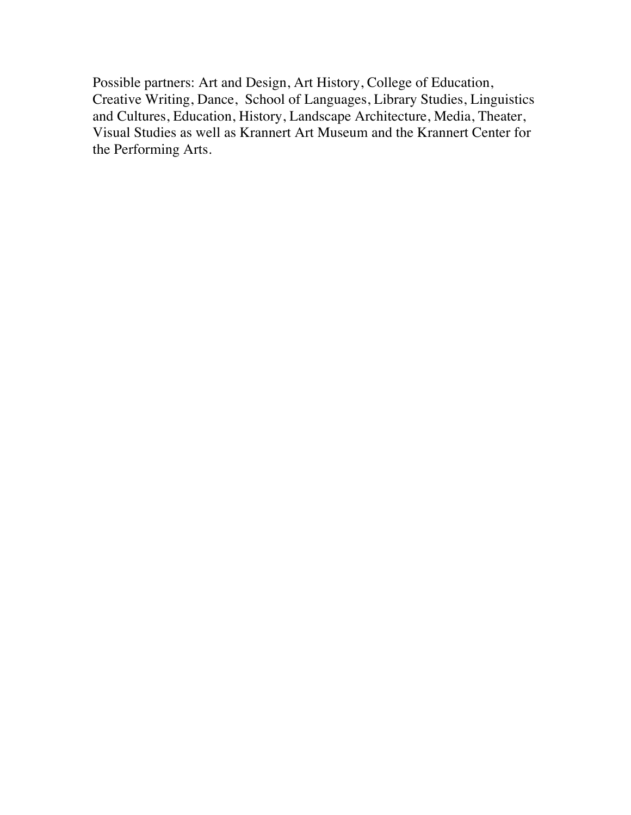Possible partners: Art and Design, Art History, College of Education, Creative Writing, Dance, School of Languages, Library Studies, Linguistics and Cultures, Education, History, Landscape Architecture, Media, Theater, Visual Studies as well as Krannert Art Museum and the Krannert Center for the Performing Arts.